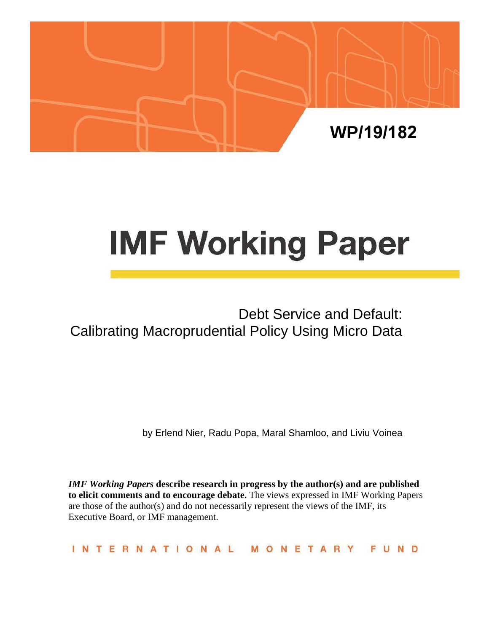

# **IMF Working Paper**

# Debt Service and Default: Calibrating Macroprudential Policy Using Micro Data

by Erlend Nier, Radu Popa, Maral Shamloo, and Liviu Voinea

*IMF Working Papers* describe research in progress by the author(s) and are published **to elicit comments and to encourage debate.** The views expressed in IMF Working Papers are those of the author(s) and do not necessarily represent the views of the IMF, its Executive Board, or IMF management.

**INTERNATIONAL** MONETARY FUND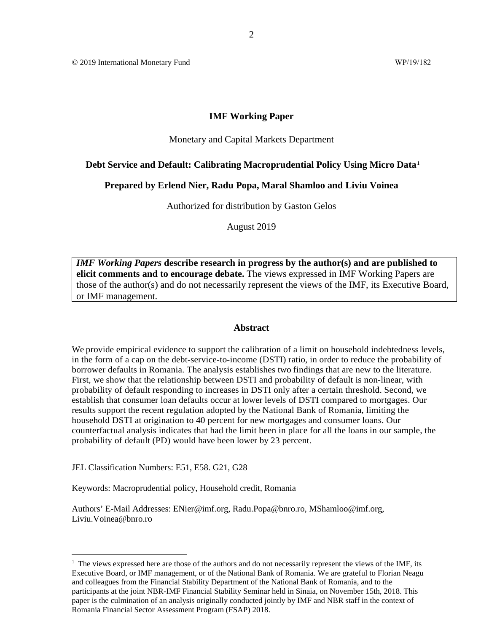© 2019 International Monetary Fund WP/19/182

#### **IMF Working Paper**

#### Monetary and Capital Markets Department

#### **Debt Service and Default: Calibrating Macroprudential Policy Using Micro Data[1](#page-1-0)**

#### **Prepared by Erlend Nier, Radu Popa, Maral Shamloo and Liviu Voinea**

Authorized for distribution by Gaston Gelos

August 2019

*IMF Working Papers* **describe research in progress by the author(s) and are published to elicit comments and to encourage debate.** The views expressed in IMF Working Papers are those of the author(s) and do not necessarily represent the views of the IMF, its Executive Board, or IMF management.

#### **Abstract**

We provide empirical evidence to support the calibration of a limit on household indebtedness levels, in the form of a cap on the debt-service-to-income (DSTI) ratio, in order to reduce the probability of borrower defaults in Romania. The analysis establishes two findings that are new to the literature. First, we show that the relationship between DSTI and probability of default is non-linear, with probability of default responding to increases in DSTI only after a certain threshold. Second, we establish that consumer loan defaults occur at lower levels of DSTI compared to mortgages. Our results support the recent regulation adopted by the National Bank of Romania, limiting the household DSTI at origination to 40 percent for new mortgages and consumer loans. Our counterfactual analysis indicates that had the limit been in place for all the loans in our sample, the probability of default (PD) would have been lower by 23 percent.

JEL Classification Numbers: E51, E58. G21, G28

Keywords: Macroprudential policy, Household credit, Romania

Authors' E-Mail Addresses: ENier@imf.org, Radu.Popa@bnro.ro, MShamloo@imf.org, Liviu.Voinea@bnro.ro

<span id="page-1-0"></span> $<sup>1</sup>$  The views expressed here are those of the authors and do not necessarily represent the views of the IMF, its</sup> Executive Board, or IMF management, or of the National Bank of Romania. We are grateful to Florian Neagu and colleagues from the Financial Stability Department of the National Bank of Romania, and to the participants at the joint NBR-IMF Financial Stability Seminar held in Sinaia, on November 15th, 2018. This paper is the culmination of an analysis originally conducted jointly by IMF and NBR staff in the context of Romania Financial Sector Assessment Program (FSAP) 2018.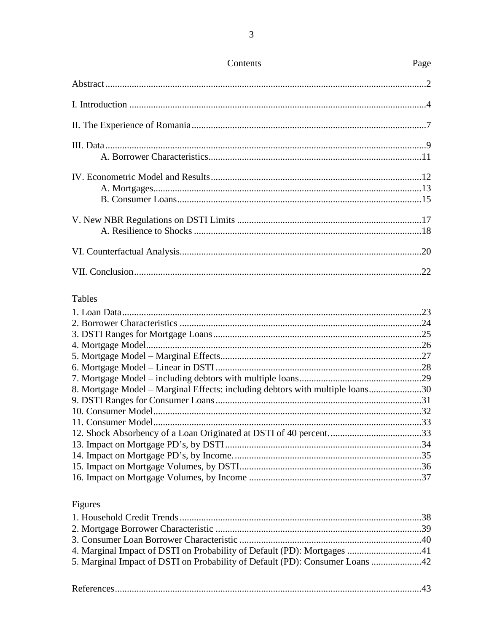| <b>Tables</b>                                                                 |  |
|-------------------------------------------------------------------------------|--|
|                                                                               |  |
|                                                                               |  |
|                                                                               |  |
|                                                                               |  |
|                                                                               |  |
|                                                                               |  |
|                                                                               |  |
| 8. Mortgage Model – Marginal Effects: including debtors with multiple loans30 |  |
|                                                                               |  |
|                                                                               |  |
|                                                                               |  |
|                                                                               |  |
|                                                                               |  |
|                                                                               |  |
|                                                                               |  |
|                                                                               |  |

# Figures

| 4. Marginal Impact of DSTI on Probability of Default (PD): Mortgages 41      |  |
|------------------------------------------------------------------------------|--|
| 5. Marginal Impact of DSTI on Probability of Default (PD): Consumer Loans 42 |  |
|                                                                              |  |

Page

Contents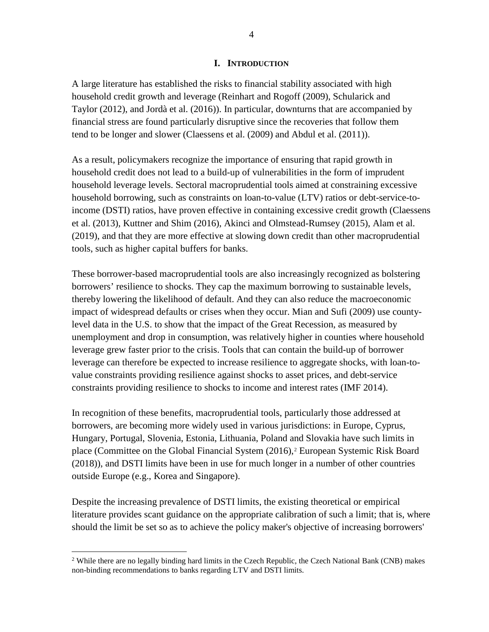#### **I. INTRODUCTION**

A large literature has established the risks to financial stability associated with high household credit growth and leverage (Reinhart and Rogoff (2009), Schularick and Taylor (2012), and Jordà et al. (2016)). In particular, downturns that are accompanied by financial stress are found particularly disruptive since the recoveries that follow them tend to be longer and slower (Claessens et al. (2009) and Abdul et al. (2011)).

As a result, policymakers recognize the importance of ensuring that rapid growth in household credit does not lead to a build-up of vulnerabilities in the form of imprudent household leverage levels. Sectoral macroprudential tools aimed at constraining excessive household borrowing, such as constraints on loan-to-value (LTV) ratios or debt-service-toincome (DSTI) ratios, have proven effective in containing excessive credit growth (Claessens et al. (2013), Kuttner and Shim (2016), Akinci and Olmstead-Rumsey (2015), Alam et al. (2019), and that they are more effective at slowing down credit than other macroprudential tools, such as higher capital buffers for banks.

These borrower-based macroprudential tools are also increasingly recognized as bolstering borrowers' resilience to shocks. They cap the maximum borrowing to sustainable levels, thereby lowering the likelihood of default. And they can also reduce the macroeconomic impact of widespread defaults or crises when they occur. Mian and Sufi (2009) use countylevel data in the U.S. to show that the impact of the Great Recession, as measured by unemployment and drop in consumption, was relatively higher in counties where household leverage grew faster prior to the crisis. Tools that can contain the build-up of borrower leverage can therefore be expected to increase resilience to aggregate shocks, with loan-tovalue constraints providing resilience against shocks to asset prices, and debt-service constraints providing resilience to shocks to income and interest rates (IMF 2014).

In recognition of these benefits, macroprudential tools, particularly those addressed at borrowers, are becoming more widely used in various jurisdictions: in Europe, Cyprus, Hungary, Portugal, Slovenia, Estonia, Lithuania, Poland and Slovakia have such limits in place (Committee on the Global Financial System [\(2016\)](#page-21-0),<sup>[2](#page-3-0)</sup> European Systemic Risk Board (201[8\)\), a](#page-21-0)nd DSTI limits have been in use for much longer in a number of other countries outside Europe (e.g., Korea and Singapore).

Despite the increasing prevalence of DSTI limits, the existing theoretical or empirical literature provides scant guidance on the appropriate calibration of such a limit; that is, where should the limit be set so as to achieve the policy maker's objective of increasing borrowers'

<span id="page-3-0"></span><sup>&</sup>lt;sup>2</sup> While there are no legally binding hard limits in the Czech Republic, the Czech National Bank (CNB) makes non-binding recommendations to banks regarding LTV and DSTI limits.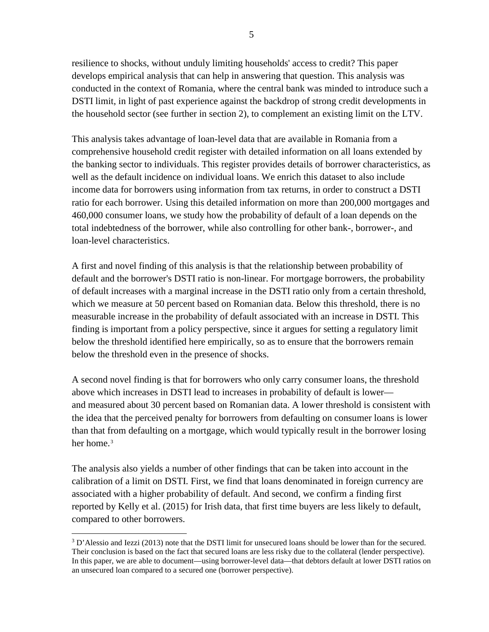resilience to shocks, without unduly limiting households' access to credit? This paper develops empirical analysis that can help in answering that question. This analysis was conducted in the context of Romania, where the central bank was minded to introduce such a DSTI limit, in light of past experience against the backdrop of strong credit developments in the household sector (see further in section 2), to complement an existing limit on the LTV.

This analysis takes advantage of loan-level data that are available in Romania from a comprehensive household credit register with detailed information on all loans extended by the banking sector to individuals. This register provides details of borrower characteristics, as well as the default incidence on individual loans. We enrich this dataset to also include income data for borrowers using information from tax returns, in order to construct a DSTI ratio for each borrower. Using this detailed information on more than 200,000 mortgages and 460,000 consumer loans, we study how the probability of default of a loan depends on the total indebtedness of the borrower, while also controlling for other bank-, borrower-, and loan-level characteristics.

A first and novel finding of this analysis is that the relationship between probability of default and the borrower's DSTI ratio is non-linear. For mortgage borrowers, the probability of default increases with a marginal increase in the DSTI ratio only from a certain threshold, which we measure at 50 percent based on Romanian data. Below this threshold, there is no measurable increase in the probability of default associated with an increase in DSTI. This finding is important from a policy perspective, since it argues for setting a regulatory limit below the threshold identified here empirically, so as to ensure that the borrowers remain below the threshold even in the presence of shocks.

A second novel finding is that for borrowers who only carry consumer loans, the threshold above which increases in DSTI lead to increases in probability of default is lower and measured about 30 percent based on Romanian data. A lower threshold is consistent with the idea that the perceived penalty for borrowers from defaulting on consumer loans is lower than that from defaulting on a mortgage, which would typically result in the borrower losing her home.<sup>[3](#page-4-0)</sup>

The analysis also yields a number of other findings that can be taken into account in the calibration of a limit on DSTI. First, we find that loans denominated in foreign currency are associated with a higher probability of default. And second, we confirm a finding first reported by Kelly et al. (2015) for Irish data, that first time buyers are less likely to default, compared to other borrowers.

<span id="page-4-0"></span><sup>&</sup>lt;sup>3</sup> D'Alessio and Iezzi (2013) note that the DSTI limit for unsecured loans should be lower than for the secured. Their conclusion is based on the fact that secured loans are less risky due to the collateral (lender perspective). In this paper, we are able to document—using borrower-level data—that debtors default at lower DSTI ratios on an unsecured loan compared to a secured one (borrower perspective).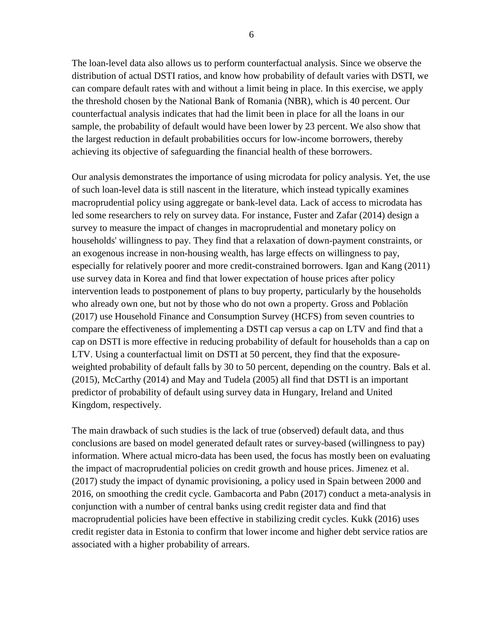The loan-level data also allows us to perform counterfactual analysis. Since we observe the distribution of actual DSTI ratios, and know how probability of default varies with DSTI, we can compare default rates with and without a limit being in place. In this exercise, we apply the threshold chosen by the National Bank of Romania (NBR), which is 40 percent. Our counterfactual analysis indicates that had the limit been in place for all the loans in our sample, the probability of default would have been lower by 23 percent. We also show that the largest reduction in default probabilities occurs for low-income borrowers, thereby achieving its objective of safeguarding the financial health of these borrowers.

Our analysis demonstrates the importance of using microdata for policy analysis. Yet, the use of such loan-level data is still nascent in the literature, which instead typically examines macroprudential policy using aggregate or bank-level data. Lack of access to microdata has led some researchers to rely on survey data. For instance, Fuster and Zafar (2014) design a survey to measure the impact of changes in macroprudential and monetary policy on households' willingness to pay. They find that a relaxation of down-payment constraints, or an exogenous increase in non-housing wealth, has large effects on willingness to pay, especially for relatively poorer and more credit-constrained borrowers. Igan and Kang (2011) use survey data in Korea and find that lower expectation of house prices after policy intervention leads to postponement of plans to buy property, particularly by the households who already own one, but not by those who do not own a property. Gross and Población (2017) use Household Finance and Consumption Survey (HCFS) from seven countries to compare the effectiveness of implementing a DSTI cap versus a cap on LTV and find that a cap on DSTI is more effective in reducing probability of default for households than a cap on LTV. Using a counterfactual limit on DSTI at 50 percent, they find that the exposureweighted probability of default falls by 30 to 50 percent, depending on the country. Bals et al. (201[5\),](#page-21-0) McCarthy [\(2014\)](#page-21-0) and May and Tudela (200[5\)](#page-21-0) all find that DSTI is an important predictor of probability of default using survey data in Hungary, Ireland and United Kingdom, respectively.

The main drawback of such studies is the lack of true (observed) default data, and thus conclusions are based on model generated default rates or survey-based (willingness to pay) information. Where actual micro-data has been used, the focus has mostly been on evaluating the impact of macroprudential policies on credit growth and house prices. Jimenez et al. (2017) study the impact of dynamic provisioning, a policy used in Spain between 2000 and 2016, on smoothing the credit cycle. Gambacorta and Pabn (2017) conduct a meta-analysis in conjunction with a number of central banks using credit register data and find that macroprudential policies have been effective in stabilizing credit cycles. Kukk (2016) uses credit register data in Estonia to confirm that lower income and higher debt service ratios are associated with a higher probability of arrears.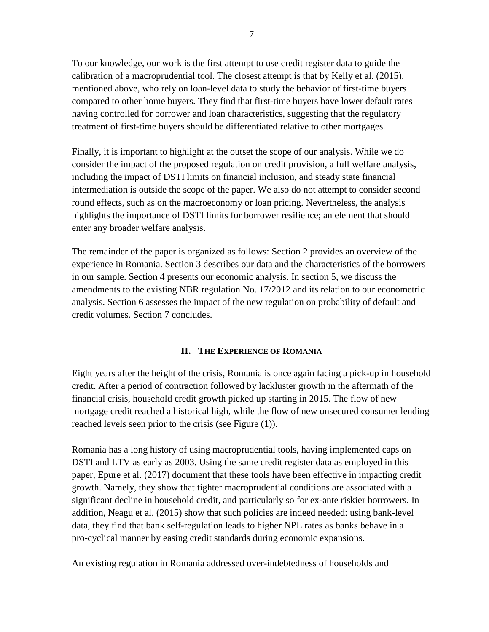To our knowledge, our work is the first attempt to use credit register data to guide the calibration of a macroprudential tool. The closest attempt is that by Kelly et al. (2015), mentioned above, who rely on loan-level data to study the behavior of first-time buyers compared to other home buyers. They find that first-time buyers have lower default rates having controlled for borrower and loan characteristics, suggesting that the regulatory treatment of first-time buyers should be differentiated relative to other mortgages.

Finally, it is important to highlight at the outset the scope of our analysis. While we do consider the impact of the proposed regulation on credit provision, a full welfare analysis, including the impact of DSTI limits on financial inclusion, and steady state financial intermediation is outside the scope of the paper. We also do not attempt to consider second round effects, such as on the macroeconomy or loan pricing. Nevertheless, the analysis highlights the importance of DSTI limits for borrower resilience; an element that should enter any broader welfare analysis.

The remainder of the paper is organized as follows: Section 2 provides an overview of the experience in Romania. Section 3 describes our data and the characteristics of the borrowers in our sample. Section 4 presents our economic analysis. In section 5, we discuss the amendments to the existing NBR regulation No. 17/2012 and its relation to our econometric analysis. Section 6 assesses the impact of the new regulation on probability of default and credit volumes. Section 7 concludes.

# **II. THE EXPERIENCE OF ROMANIA**

Eight years after the height of the crisis, Romania is once again facing a pick-up in household credit. After a period of contraction followed by lackluster growth in the aftermath of the financial crisis, household credit growth picked up starting in 2015. The flow of new mortgage credit reached a historical high, while the flow of new unsecured consumer lending reached levels seen prior to the crisis (see Figure (1)).

Romania has a long history of using macroprudential tools, having implemented caps on DSTI and LTV as early as 2003. Using the same credit register data as employed in this paper, Epure et al. (2017) document that these tools have been effective in impacting credit growth. Namely, they show that tighter macroprudential conditions are associated with a significant decline in household credit, and particularly so for ex-ante riskier borrowers. In addition, Neagu et al. (2015) show that such policies are indeed needed: using bank-level data, they find that bank self-regulation leads to higher NPL rates as banks behave in a pro-cyclical manner by easing credit standards during economic expansions.

An existing regulation in Romania addressed over-indebtedness of households and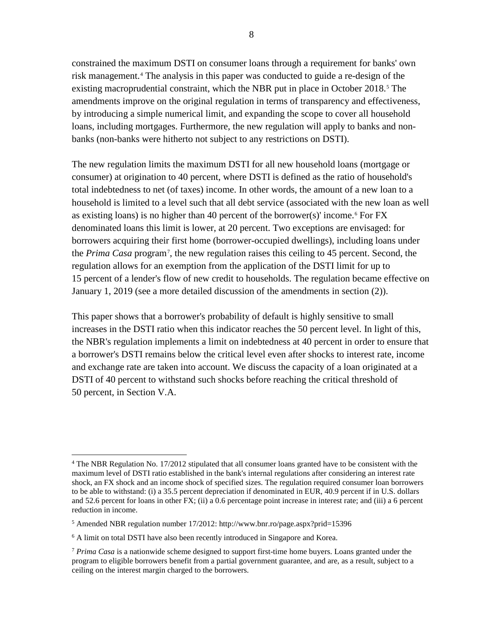constrained the maximum DSTI on consumer loans through a requirement for banks' own risk management.[4](#page-7-0) The analysis in this paper was conducted to guide a re-design of the existing macroprudential constraint, which the NBR put in place in October 2018.<sup>[5](#page-7-1)</sup> The amendments improve on the original regulation in terms of transparency and effectiveness, by introducing a simple numerical limit, and expanding the scope to cover all household loans, including mortgages. Furthermore, the new regulation will apply to banks and nonbanks (non-banks were hitherto not subject to any restrictions on DSTI).

The new regulation limits the maximum DSTI for all new household loans (mortgage or consumer) at origination to 40 percent, where DSTI is defined as the ratio of household's total indebtedness to net (of taxes) income. In other words, the amount of a new loan to a household is limited to a level such that all debt service (associated with the new loan as well as existing loans) is no higher than 40 percent of the borrower(s)' income.<sup>[6](#page-7-2)</sup> For FX denominated loans this limit is lower, at 20 percent. Two exceptions are envisaged: for borrowers acquiring their first home (borrower-occupied dwellings), including loans under the *Prima Casa* program[7](#page-7-3) , the new regulation raises this ceiling to 45 percent. Second, the regulation allows for an exemption from the application of the DSTI limit for up to 15 percent of a lender's flow of new credit to households. The regulation became effective on January 1, 2019 (see a more detailed discussion of the amendments in section (2)).

This paper shows that a borrower's probability of default is highly sensitive to small increases in the DSTI ratio when this indicator reaches the 50 percent level. In light of this, the NBR's regulation implements a limit on indebtedness at 40 percent in order to ensure that a borrower's DSTI remains below the critical level even after shocks to interest rate, income and exchange rate are taken into account. We discuss the capacity of a loan originated at a DSTI of 40 percent to withstand such shocks before reaching the critical threshold of 50 percent, in Section V.A.

<span id="page-7-0"></span><sup>&</sup>lt;sup>4</sup> The NBR Regulation No. 17/2012 stipulated that all consumer loans granted have to be consistent with the maximum level of DSTI ratio established in the bank's internal regulations after considering an interest rate shock, an FX shock and an income shock of specified sizes. The regulation required consumer loan borrowers to be able to withstand: (i) a 35.5 percent depreciation if denominated in EUR, 40.9 percent if in U.S. dollars and 52.6 percent for loans in other FX; (ii) a 0.6 percentage point increase in interest rate; and (iii) a 6 percent reduction in income.

<span id="page-7-1"></span> $5$  Amended NBR regulation number 17/2012: http://www.bnr.ro/page.aspx?prid=15396

<span id="page-7-2"></span><sup>6</sup> A limit on total DSTI have also been recently introduced in Singapore and Korea.

<span id="page-7-3"></span><sup>7</sup> *Prima Casa* is a nationwide scheme designed to support first-time home buyers. Loans granted under the program to eligible borrowers benefit from a partial government guarantee, and are, as a result, subject to a ceiling on the interest margin charged to the borrowers.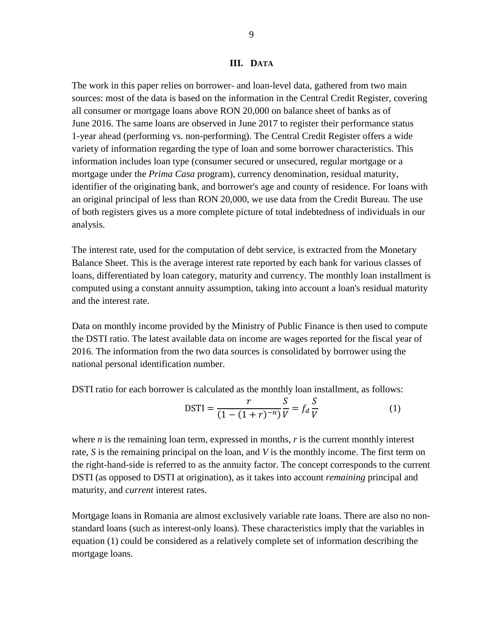#### **III. DATA**

The work in this paper relies on borrower- and loan-level data, gathered from two main sources: most of the data is based on the information in the Central Credit Register, covering all consumer or mortgage loans above RON 20,000 on balance sheet of banks as of June 2016. The same loans are observed in June 2017 to register their performance status 1-year ahead (performing vs. non-performing). The Central Credit Register offers a wide variety of information regarding the type of loan and some borrower characteristics. This information includes loan type (consumer secured or unsecured, regular mortgage or a mortgage under the *Prima Casa* program), currency denomination, residual maturity, identifier of the originating bank, and borrower's age and county of residence. For loans with an original principal of less than RON 20,000, we use data from the Credit Bureau. The use of both registers gives us a more complete picture of total indebtedness of individuals in our analysis.

The interest rate, used for the computation of debt service, is extracted from the Monetary Balance Sheet. This is the average interest rate reported by each bank for various classes of loans, differentiated by loan category, maturity and currency. The monthly loan installment is computed using a constant annuity assumption, taking into account a loan's residual maturity and the interest rate.

Data on monthly income provided by the Ministry of Public Finance is then used to compute the DSTI ratio. The latest available data on income are wages reported for the fiscal year of 2016. The information from the two data sources is consolidated by borrower using the national personal identification number.

DSTI ratio for each borrower is calculated as the monthly loan installment, as follows:

$$
DSTI = \frac{r}{(1 - (1 + r)^{-n})} \frac{S}{V} = f_d \frac{S}{V}
$$
 (1)

where *n* is the remaining loan term, expressed in months, *r* is the current monthly interest rate, *S* is the remaining principal on the loan, and *V* is the monthly income. The first term on the right-hand-side is referred to as the annuity factor. The concept corresponds to the current DSTI (as opposed to DSTI at origination), as it takes into account *remaining* principal and maturity, and *current* interest rates.

Mortgage loans in Romania are almost exclusively variable rate loans. There are also no nonstandard loans (such as interest-only loans). These characteristics imply that the variables in equation (1) could be considered as a relatively complete set of information describing the mortgage loans.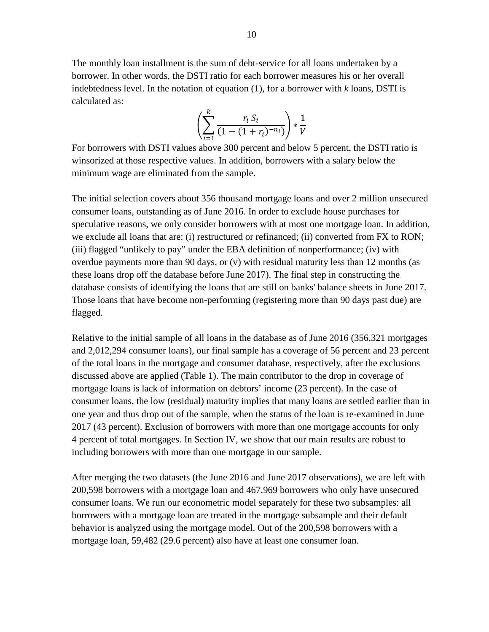The monthly loan installment is the sum of debt-service for all loans undertaken by a borrower. In other words, the DSTI ratio for each borrower measures his or her overall indebtedness level. In the notation of equation (1), for a borrower with *k* loans, DSTI is calculated as:

$$
\left(\sum_{i=1}^k \frac{r_i S_i}{(1-(1+r_i)^{-n_i})}\right) * \frac{1}{V}
$$

For borrowers with DSTI values above 300 percent and below 5 percent, the DSTI ratio is winsorized at those respective values. In addition, borrowers with a salary below the minimum wage are eliminated from the sample.

The initial selection covers about 356 thousand mortgage loans and over 2 million unsecured consumer loans, outstanding as of June 2016. In order to exclude house purchases for speculative reasons, we only consider borrowers with at most one mortgage loan. In addition, we exclude all loans that are: (i) restructured or refinanced; (ii) converted from FX to RON; (iii) flagged "unlikely to pay" under the EBA definition of nonperformance; (iv) with overdue payments more than 90 days, or (v) with residual maturity less than 12 months (as these loans drop off the database before June 2017). The final step in constructing the database consists of identifying the loans that are still on banks' balance sheets in June 2017. Those loans that have become non-performing (registering more than 90 days past due) are flagged.

Relative to the initial sample of all loans in the database as of June 2016 (356,321 mortgages and 2,012,294 consumer loans), our final sample has a coverage of 56 percent and 23 percent of the total loans in the mortgage and consumer database, respectively, after the exclusions discussed above are applied (Table 1). The main contributor to the drop in coverage of mortgage loans is lack of information on debtors' income (23 percent). In the case of consumer loans, the low (residual) maturity implies that many loans are settled earlier than in one year and thus drop out of the sample, when the status of the loan is re-examined in June 2017 (43 percent). Exclusion of borrowers with more than one mortgage accounts for only 4 percent of total mortgages. In Section IV, we show that our main results are robust to including borrowers with more than one mortgage in our sample.

After merging the two datasets (the June 2016 and June 2017 observations), we are left with 200,598 borrowers with a mortgage loan and 467,969 borrowers who only have unsecured consumer loans. We run our econometric model separately for these two subsamples: all borrowers with a mortgage loan are treated in the mortgage subsample and their default behavior is analyzed using the mortgage model. Out of the 200,598 borrowers with a mortgage loan, 59,482 (29.6 percent) also have at least one consumer loan.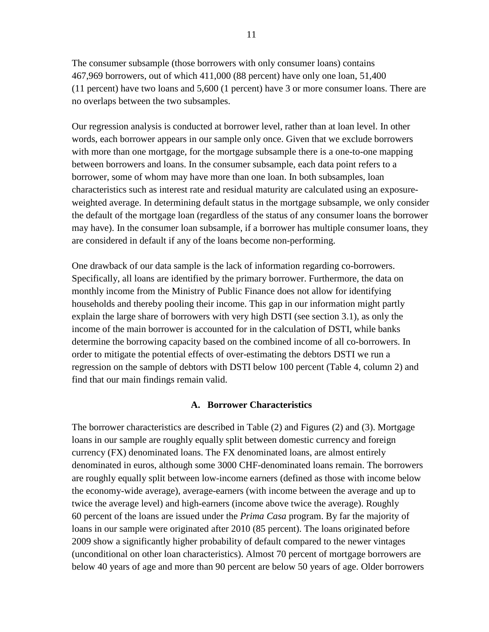The consumer subsample (those borrowers with only consumer loans) contains 467,969 borrowers, out of which 411,000 (88 percent) have only one loan, 51,400 (11 percent) have two loans and 5,600 (1 percent) have 3 or more consumer loans. There are no overlaps between the two subsamples.

Our regression analysis is conducted at borrower level, rather than at loan level. In other words, each borrower appears in our sample only once. Given that we exclude borrowers with more than one mortgage, for the mortgage subsample there is a one-to-one mapping between borrowers and loans. In the consumer subsample, each data point refers to a borrower, some of whom may have more than one loan. In both subsamples, loan characteristics such as interest rate and residual maturity are calculated using an exposureweighted average. In determining default status in the mortgage subsample, we only consider the default of the mortgage loan (regardless of the status of any consumer loans the borrower may have). In the consumer loan subsample, if a borrower has multiple consumer loans, they are considered in default if any of the loans become non-performing.

One drawback of our data sample is the lack of information regarding co-borrowers. Specifically, all loans are identified by the primary borrower. Furthermore, the data on monthly income from the Ministry of Public Finance does not allow for identifying households and thereby pooling their income. This gap in our information might partly explain the large share of borrowers with very high DSTI (see section 3.1), as only the income of the main borrower is accounted for in the calculation of DSTI, while banks determine the borrowing capacity based on the combined income of all co-borrowers. In order to mitigate the potential effects of over-estimating the debtors DSTI we run a regression on the sample of debtors with DSTI below 100 percent (Table 4, column 2) and find that our main findings remain valid.

#### **A. Borrower Characteristics**

The borrower characteristics are described in Table (2) and Figures (2) and (3). Mortgage loans in our sample are roughly equally split between domestic currency and foreign currency (FX) denominated loans. The FX denominated loans, are almost entirely denominated in euros, although some 3000 CHF-denominated loans remain. The borrowers are roughly equally split between low-income earners (defined as those with income below the economy-wide average), average-earners (with income between the average and up to twice the average level) and high-earners (income above twice the average). Roughly 60 percent of the loans are issued under the *Prima Casa* program. By far the majority of loans in our sample were originated after 2010 (85 percent). The loans originated before 2009 show a significantly higher probability of default compared to the newer vintages (unconditional on other loan characteristics). Almost 70 percent of mortgage borrowers are below 40 years of age and more than 90 percent are below 50 years of age. Older borrowers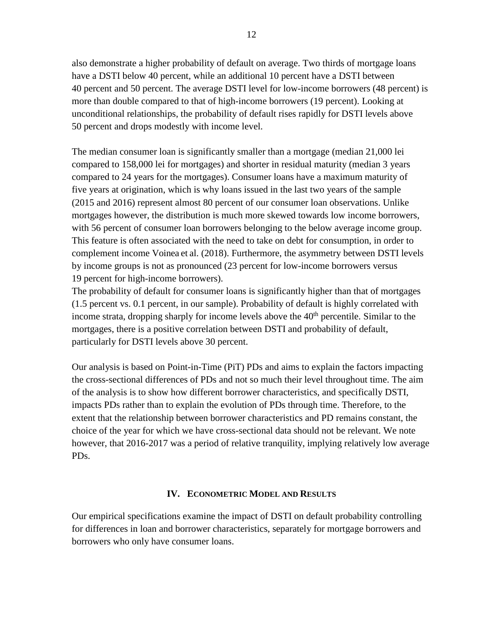also demonstrate a higher probability of default on average. Two thirds of mortgage loans have a DSTI below 40 percent, while an additional 10 percent have a DSTI between 40 percent and 50 percent. The average DSTI level for low-income borrowers (48 percent) is more than double compared to that of high-income borrowers (19 percent). Looking at unconditional relationships, the probability of default rises rapidly for DSTI levels above 50 percent and drops modestly with income level.

The median consumer loan is significantly smaller than a mortgage (median 21,000 lei compared to 158,000 lei for mortgages) and shorter in residual maturity (median 3 years compared to 24 years for the mortgages). Consumer loans have a maximum maturity of five years at origination, which is why loans issued in the last two years of the sample (2015 and 2016) represent almost 80 percent of our consumer loan observations. Unlike mortgages however, the distribution is much more skewed towards low income borrowers, with 56 percent of consumer loan borrowers belonging to the below average income group. This feature is often associated with the need to take on debt for consumption, in order to complement income Voinea et al. (2018). Furthermore, the asymmetry between DSTI levels by income groups is not as pronounced (23 percent for low-income borrowers versus 19 percent for high-income borrowers).

The probability of default for consumer loans is significantly higher than that of mortgages (1.5 percent vs. 0.1 percent, in our sample). Probability of default is highly correlated with income strata, dropping sharply for income levels above the 40<sup>th</sup> percentile. Similar to the mortgages, there is a positive correlation between DSTI and probability of default, particularly for DSTI levels above 30 percent.

Our analysis is based on Point-in-Time (PiT) PDs and aims to explain the factors impacting the cross-sectional differences of PDs and not so much their level throughout time. The aim of the analysis is to show how different borrower characteristics, and specifically DSTI, impacts PDs rather than to explain the evolution of PDs through time. Therefore, to the extent that the relationship between borrower characteristics and PD remains constant, the choice of the year for which we have cross-sectional data should not be relevant. We note however, that 2016-2017 was a period of relative tranquility, implying relatively low average PDs.

### **IV. ECONOMETRIC MODEL AND RESULTS**

Our empirical specifications examine the impact of DSTI on default probability controlling for differences in loan and borrower characteristics, separately for mortgage borrowers and borrowers who only have consumer loans.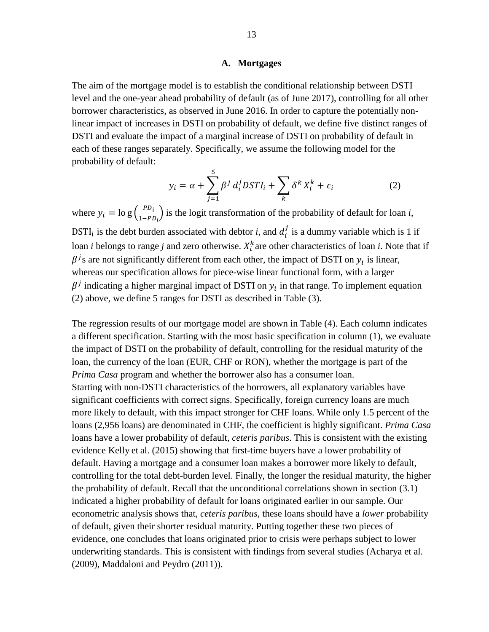#### **A. Mortgages**

The aim of the mortgage model is to establish the conditional relationship between DSTI level and the one-year ahead probability of default (as of June 2017), controlling for all other borrower characteristics, as observed in June 2016. In order to capture the potentially nonlinear impact of increases in DSTI on probability of default, we define five distinct ranges of DSTI and evaluate the impact of a marginal increase of DSTI on probability of default in each of these ranges separately. Specifically, we assume the following model for the probability of default:

$$
y_i = \alpha + \sum_{j=1}^{5} \beta^j d_i^j DST I_i + \sum_k \delta^k X_i^k + \epsilon_i
$$
 (2)

where  $y_i = \log \left( \frac{P D_i}{1 - P D_i} \right)$  is the logit transformation of the probability of default for loan *i*, DSTI<sub>i</sub> is the debt burden associated with debtor *i*, and  $d_i^j$  is a dummy variable which is 1 if loan *i* belongs to range *j* and zero otherwise.  $X_i^k$  are other characteristics of loan *i*. Note that if  $\beta^{j}$ s are not significantly different from each other, the impact of DSTI on  $y_i$  is linear, whereas our specification allows for piece-wise linear functional form, with a larger  $\beta^{j}$  indicating a higher marginal impact of DSTI on  $y_i$  in that range. To implement equation (2) above, we define 5 ranges for DSTI as described in Table (3).

The regression results of our mortgage model are shown in Table (4). Each column indicates a different specification. Starting with the most basic specification in column (1), we evaluate the impact of DSTI on the probability of default, controlling for the residual maturity of the loan, the currency of the loan (EUR, CHF or RON), whether the mortgage is part of the *Prima Casa* program and whether the borrower also has a consumer loan. Starting with non-DSTI characteristics of the borrowers, all explanatory variables have significant coefficients with correct signs. Specifically, foreign currency loans are much more likely to default, with this impact stronger for CHF loans. While only 1.5 percent of the loans (2,956 loans) are denominated in CHF, the coefficient is highly significant. *Prima Casa* loans have a lower probability of default, *ceteris paribus*. This is consistent with the existing evidence Kelly et al. [\(2015\)](#page-21-0) showing that first-time buyers have a lower probability of default. Having a mortgage and a consumer loan makes a borrower more likely to default, controlling for the total debt-burden level. Finally, the longer the residual maturity, the higher the probability of default. Recall that the unconditional correlations shown in section (3.1) indicated a higher probability of default for loans originated earlier in our sample. Our econometric analysis shows that, *ceteris paribus*, these loans should have a *lower* probability of default, given their shorter residual maturity. Putting together these two pieces of evidence, one concludes that loans originated prior to crisis were perhaps subject to lower underwriting standards. This is consistent with findings from several studies (Acharya et al. (2009), Maddaloni and Peydro (2011)).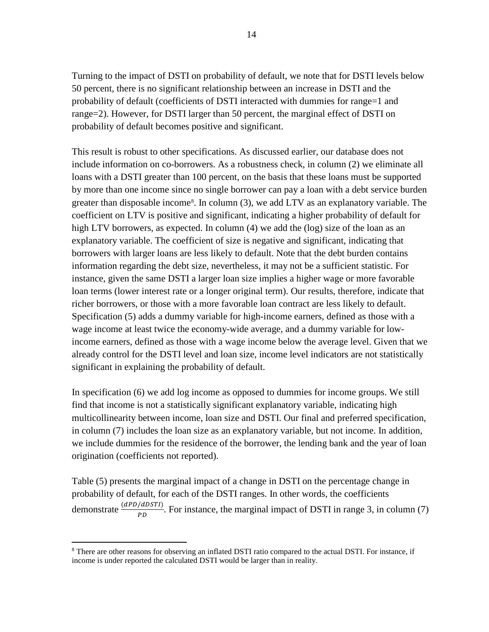Turning to the impact of DSTI on probability of default, we note that for DSTI levels below 50 percent, there is no significant relationship between an increase in DSTI and the probability of default (coefficients of DSTI interacted with dummies for range=1 and range=2). However, for DSTI larger than 50 percent, the marginal effect of DSTI on probability of default becomes positive and significant.

This result is robust to other specifications. As discussed earlier, our database does not include information on co-borrowers. As a robustness check, in column (2) we eliminate all loans with a DSTI greater than 100 percent, on the basis that these loans must be supported by more than one income since no single borrower can pay a loan with a debt service burden greater than disposable income<sup>[8](#page-13-0)</sup>. In column (3), we add LTV as an explanatory variable. The coefficient on LTV is positive and significant, indicating a higher probability of default for high LTV borrowers, as expected. In column (4) we add the (log) size of the loan as an explanatory variable. The coefficient of size is negative and significant, indicating that borrowers with larger loans are less likely to default. Note that the debt burden contains information regarding the debt size, nevertheless, it may not be a sufficient statistic. For instance, given the same DSTI a larger loan size implies a higher wage or more favorable loan terms (lower interest rate or a longer original term). Our results, therefore, indicate that richer borrowers, or those with a more favorable loan contract are less likely to default. Specification (5) adds a dummy variable for high-income earners, defined as those with a wage income at least twice the economy-wide average, and a dummy variable for lowincome earners, defined as those with a wage income below the average level. Given that we already control for the DSTI level and loan size, income level indicators are not statistically significant in explaining the probability of default.

In specification (6) we add log income as opposed to dummies for income groups. We still find that income is not a statistically significant explanatory variable, indicating high multicollinearity between income, loan size and DSTI. Our final and preferred specification, in column (7) includes the loan size as an explanatory variable, but not income. In addition, we include dummies for the residence of the borrower, the lending bank and the year of loan origination (coefficients not reported).

Table (5) presents the marginal impact of a change in DSTI on the percentage change in probability of default, for each of the DSTI ranges. In other words, the coefficients demonstrate  $\frac{(dPD/dDSTI)}{PD}$ . For instance, the marginal impact of DSTI in range 3, in column (7)

<span id="page-13-0"></span> <sup>8</sup> There are other reasons for observing an inflated DSTI ratio compared to the actual DSTI. For instance, if income is under reported the calculated DSTI would be larger than in reality.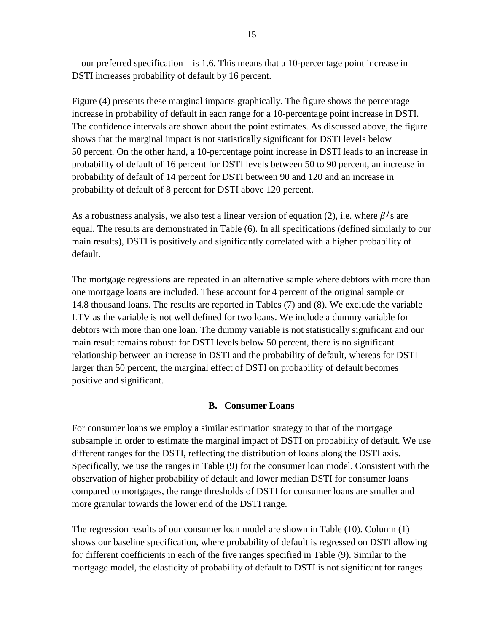—our preferred specification—is 1.6. This means that a 10-percentage point increase in DSTI increases probability of default by 16 percent.

Figure (4) presents these marginal impacts graphically. The figure shows the percentage increase in probability of default in each range for a 10-percentage point increase in DSTI. The confidence intervals are shown about the point estimates. As discussed above, the figure shows that the marginal impact is not statistically significant for DSTI levels below 50 percent. On the other hand, a 10-percentage point increase in DSTI leads to an increase in probability of default of 16 percent for DSTI levels between 50 to 90 percent, an increase in probability of default of 14 percent for DSTI between 90 and 120 and an increase in probability of default of 8 percent for DSTI above 120 percent.

As a robustness analysis, we also test a linear version of equation (2), i.e. where  $\beta^{j}$ s are equal. The results are demonstrated in Table (6). In all specifications (defined similarly to our main results), DSTI is positively and significantly correlated with a higher probability of default.

The mortgage regressions are repeated in an alternative sample where debtors with more than one mortgage loans are included. These account for 4 percent of the original sample or 14.8 thousand loans. The results are reported in Tables (7) and (8). We exclude the variable LTV as the variable is not well defined for two loans. We include a dummy variable for debtors with more than one loan. The dummy variable is not statistically significant and our main result remains robust: for DSTI levels below 50 percent, there is no significant relationship between an increase in DSTI and the probability of default, whereas for DSTI larger than 50 percent, the marginal effect of DSTI on probability of default becomes positive and significant.

### **B. Consumer Loans**

For consumer loans we employ a similar estimation strategy to that of the mortgage subsample in order to estimate the marginal impact of DSTI on probability of default. We use different ranges for the DSTI, reflecting the distribution of loans along the DSTI axis. Specifically, we use the ranges in Table (9) for the consumer loan model. Consistent with the observation of higher probability of default and lower median DSTI for consumer loans compared to mortgages, the range thresholds of DSTI for consumer loans are smaller and more granular towards the lower end of the DSTI range.

The regression results of our consumer loan model are shown in Table (10). Column (1) shows our baseline specification, where probability of default is regressed on DSTI allowing for different coefficients in each of the five ranges specified in Table (9). Similar to the mortgage model, the elasticity of probability of default to DSTI is not significant for ranges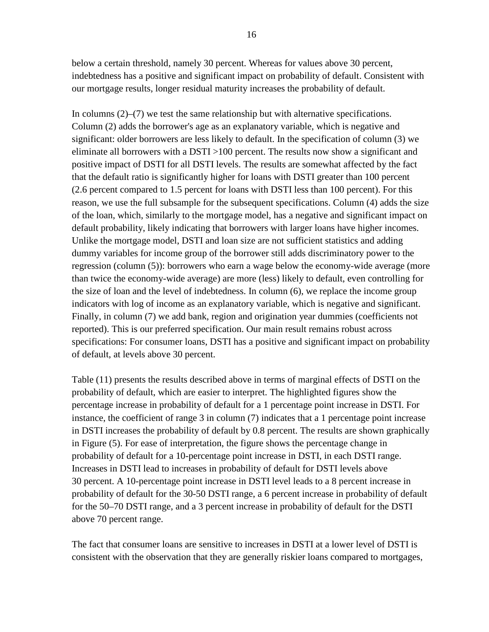below a certain threshold, namely 30 percent. Whereas for values above 30 percent, indebtedness has a positive and significant impact on probability of default. Consistent with our mortgage results, longer residual maturity increases the probability of default.

In columns  $(2)$ – $(7)$  we test the same relationship but with alternative specifications. Column (2) adds the borrower's age as an explanatory variable, which is negative and significant: older borrowers are less likely to default. In the specification of column (3) we eliminate all borrowers with a DSTI >100 percent. The results now show a significant and positive impact of DSTI for all DSTI levels. The results are somewhat affected by the fact that the default ratio is significantly higher for loans with DSTI greater than 100 percent (2.6 percent compared to 1.5 percent for loans with DSTI less than 100 percent). For this reason, we use the full subsample for the subsequent specifications. Column (4) adds the size of the loan, which, similarly to the mortgage model, has a negative and significant impact on default probability, likely indicating that borrowers with larger loans have higher incomes. Unlike the mortgage model, DSTI and loan size are not sufficient statistics and adding dummy variables for income group of the borrower still adds discriminatory power to the regression (column (5)): borrowers who earn a wage below the economy-wide average (more than twice the economy-wide average) are more (less) likely to default, even controlling for the size of loan and the level of indebtedness. In column (6), we replace the income group indicators with log of income as an explanatory variable, which is negative and significant. Finally, in column (7) we add bank, region and origination year dummies (coefficients not reported). This is our preferred specification. Our main result remains robust across specifications: For consumer loans, DSTI has a positive and significant impact on probability of default, at levels above 30 percent.

Table (11) presents the results described above in terms of marginal effects of DSTI on the probability of default, which are easier to interpret. The highlighted figures show the percentage increase in probability of default for a 1 percentage point increase in DSTI. For instance, the coefficient of range 3 in column (7) indicates that a 1 percentage point increase in DSTI increases the probability of default by 0.8 percent. The results are shown graphically in Figure (5). For ease of interpretation, the figure shows the percentage change in probability of default for a 10-percentage point increase in DSTI, in each DSTI range. Increases in DSTI lead to increases in probability of default for DSTI levels above 30 percent. A 10-percentage point increase in DSTI level leads to a 8 percent increase in probability of default for the 30-50 DSTI range, a 6 percent increase in probability of default for the 50–70 DSTI range, and a 3 percent increase in probability of default for the DSTI above 70 percent range.

The fact that consumer loans are sensitive to increases in DSTI at a lower level of DSTI is consistent with the observation that they are generally riskier loans compared to mortgages,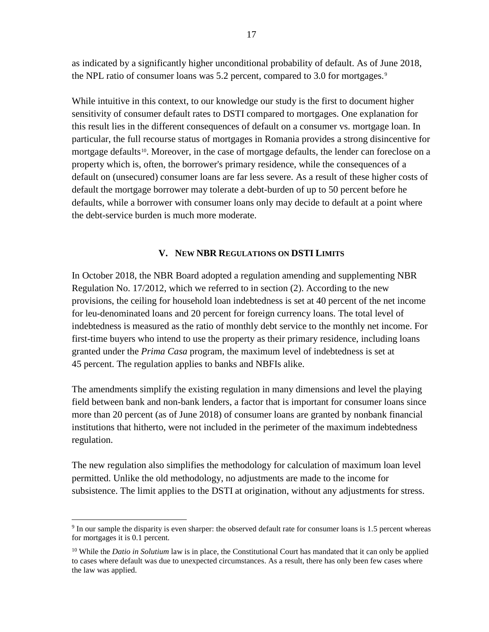as indicated by a significantly higher unconditional probability of default. As of June 2018, the NPL ratio of consumer loans was 5.2 percent, compared to 3.0 for mortgages.<sup>[9](#page-16-0)</sup>

While intuitive in this context, to our knowledge our study is the first to document higher sensitivity of consumer default rates to DSTI compared to mortgages. One explanation for this result lies in the different consequences of default on a consumer vs. mortgage loan. In particular, the full recourse status of mortgages in Romania provides a strong disincentive for mortgage defaults<sup>[10](#page-16-1)</sup>. Moreover, in the case of mortgage defaults, the lender can foreclose on a property which is, often, the borrower's primary residence, while the consequences of a default on (unsecured) consumer loans are far less severe. As a result of these higher costs of default the mortgage borrower may tolerate a debt-burden of up to 50 percent before he defaults, while a borrower with consumer loans only may decide to default at a point where the debt-service burden is much more moderate.

# **V. NEW NBR REGULATIONS ON DSTI LIMITS**

In October 2018, the NBR Board adopted a regulation amending and supplementing NBR Regulation No. 17/2012, which we referred to in section (2). According to the new provisions, the ceiling for household loan indebtedness is set at 40 percent of the net income for leu-denominated loans and 20 percent for foreign currency loans. The total level of indebtedness is measured as the ratio of monthly debt service to the monthly net income. For first-time buyers who intend to use the property as their primary residence, including loans granted under the *Prima Casa* program, the maximum level of indebtedness is set at 45 percent. The regulation applies to banks and NBFIs alike.

The amendments simplify the existing regulation in many dimensions and level the playing field between bank and non-bank lenders, a factor that is important for consumer loans since more than 20 percent (as of June 2018) of consumer loans are granted by nonbank financial institutions that hitherto, were not included in the perimeter of the maximum indebtedness regulation.

The new regulation also simplifies the methodology for calculation of maximum loan level permitted. Unlike the old methodology, no adjustments are made to the income for subsistence. The limit applies to the DSTI at origination, without any adjustments for stress.

<span id="page-16-0"></span> $9$  In our sample the disparity is even sharper: the observed default rate for consumer loans is 1.5 percent whereas for mortgages it is 0.1 percent.

<span id="page-16-1"></span><sup>&</sup>lt;sup>10</sup> While the *Datio in Solutium* law is in place, the Constitutional Court has mandated that it can only be applied to cases where default was due to unexpected circumstances. As a result, there has only been few cases where the law was applied.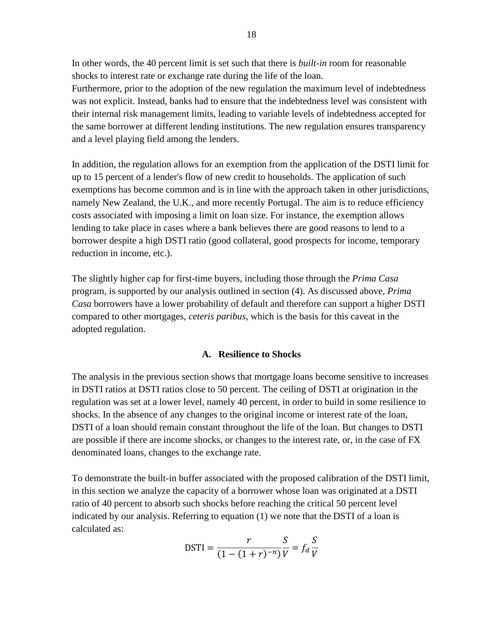In other words, the 40 percent limit is set such that there is *built-in* room for reasonable shocks to interest rate or exchange rate during the life of the loan.

Furthermore, prior to the adoption of the new regulation the maximum level of indebtedness was not explicit. Instead, banks had to ensure that the indebtedness level was consistent with their internal risk management limits, leading to variable levels of indebtedness accepted for the same borrower at different lending institutions. The new regulation ensures transparency and a level playing field among the lenders.

In addition, the regulation allows for an exemption from the application of the DSTI limit for up to 15 percent of a lender's flow of new credit to households. The application of such exemptions has become common and is in line with the approach taken in other jurisdictions, namely New Zealand, the U.K., and more recently Portugal. The aim is to reduce efficiency costs associated with imposing a limit on loan size. For instance, the exemption allows lending to take place in cases where a bank believes there are good reasons to lend to a borrower despite a high DSTI ratio (good collateral, good prospects for income, temporary reduction in income, etc.).

The slightly higher cap for first-time buyers, including those through the *Prima Casa* program, is supported by our analysis outlined in section (4). As discussed above, *Prima Casa* borrowers have a lower probability of default and therefore can support a higher DSTI compared to other mortgages, *ceteris paribus*, which is the basis for this caveat in the adopted regulation.

#### **A. Resilience to Shocks**

The analysis in the previous section shows that mortgage loans become sensitive to increases in DSTI ratios at DSTI ratios close to 50 percent. The ceiling of DSTI at origination in the regulation was set at a lower level, namely 40 percent, in order to build in some resilience to shocks. In the absence of any changes to the original income or interest rate of the loan, DSTI of a loan should remain constant throughout the life of the loan. But changes to DSTI are possible if there are income shocks, or changes to the interest rate, or, in the case of FX denominated loans, changes to the exchange rate.

To demonstrate the built-in buffer associated with the proposed calibration of the DSTI limit, in this section we analyze the capacity of a borrower whose loan was originated at a DSTI ratio of 40 percent to absorb such shocks before reaching the critical 50 percent level indicated by our analysis. Referring to equation (1) we note that the DSTI of a loan is calculated as:

$$
DSTI = \frac{r}{(1 - (1 + r)^{-n})} \frac{S}{V} = f_d \frac{S}{V}
$$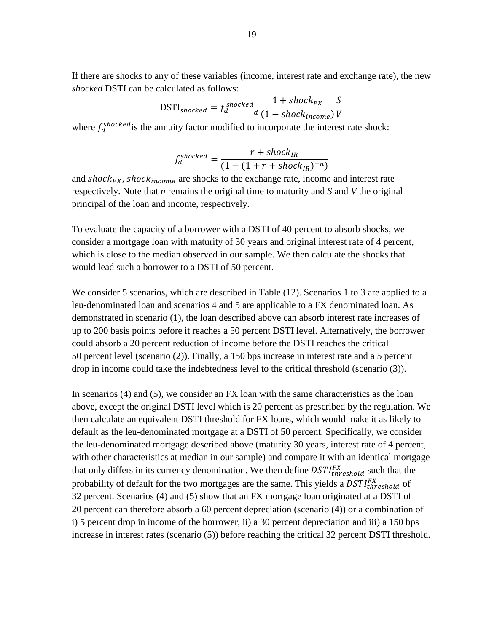If there are shocks to any of these variables (income, interest rate and exchange rate), the new *shocked* DSTI can be calculated as follows:

$$
DSTI_{shocked} = f_d^{shlocked} \frac{1 + shock_{FX}}{1 - shock_{income}} \frac{S}{V}
$$

where  $f_d^{shocked}$  is the annuity factor modified to incorporate the interest rate shock:

$$
f_d^{shocked} = \frac{r + shock_{IR}}{(1 - (1 + r + shock_{IR})^{-n})}
$$

and  $shock_{FX}$ ,  $shock_{income}$  are shocks to the exchange rate, income and interest rate respectively. Note that *n* remains the original time to maturity and *S* and *V* the original principal of the loan and income, respectively.

To evaluate the capacity of a borrower with a DSTI of 40 percent to absorb shocks, we consider a mortgage loan with maturity of 30 years and original interest rate of 4 percent, which is close to the median observed in our sample. We then calculate the shocks that would lead such a borrower to a DSTI of 50 percent.

We consider 5 scenarios, which are described in Table (12). Scenarios 1 to 3 are applied to a leu-denominated loan and scenarios 4 and 5 are applicable to a FX denominated loan. As demonstrated in scenario (1), the loan described above can absorb interest rate increases of up to 200 basis points before it reaches a 50 percent DSTI level. Alternatively, the borrower could absorb a 20 percent reduction of income before the DSTI reaches the critical 50 percent level (scenario (2)). Finally, a 150 bps increase in interest rate and a 5 percent drop in income could take the indebtedness level to the critical threshold (scenario (3)).

In scenarios (4) and (5), we consider an FX loan with the same characteristics as the loan above, except the original DSTI level which is 20 percent as prescribed by the regulation. We then calculate an equivalent DSTI threshold for FX loans, which would make it as likely to default as the leu-denominated mortgage at a DSTI of 50 percent. Specifically, we consider the leu-denominated mortgage described above (maturity 30 years, interest rate of 4 percent, with other characteristics at median in our sample) and compare it with an identical mortgage that only differs in its currency denomination. We then define  $DSTI_{threshold}^{FX}$  such that the probability of default for the two mortgages are the same. This yields a  $DSTI_{threshold}^{FX}$  of 32 percent. Scenarios (4) and (5) show that an FX mortgage loan originated at a DSTI of 20 percent can therefore absorb a 60 percent depreciation (scenario (4)) or a combination of i) 5 percent drop in income of the borrower, ii) a 30 percent depreciation and iii) a 150 bps increase in interest rates (scenario (5)) before reaching the critical 32 percent DSTI threshold.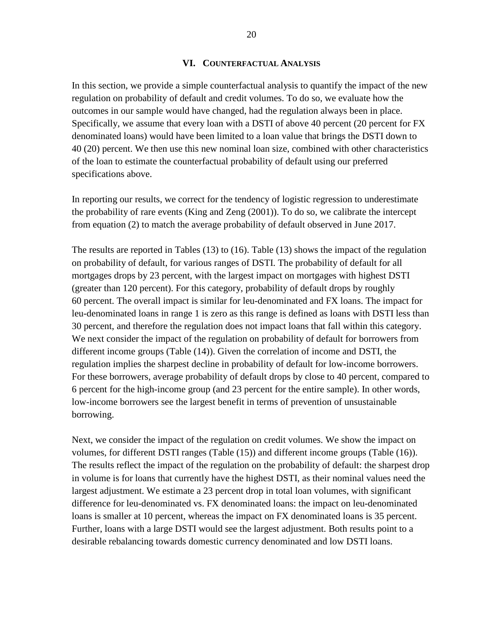20

#### **VI. COUNTERFACTUAL ANALYSIS**

In this section, we provide a simple counterfactual analysis to quantify the impact of the new regulation on probability of default and credit volumes. To do so, we evaluate how the outcomes in our sample would have changed, had the regulation always been in place. Specifically, we assume that every loan with a DSTI of above 40 percent (20 percent for FX denominated loans) would have been limited to a loan value that brings the DSTI down to 40 (20) percent. We then use this new nominal loan size, combined with other characteristics of the loan to estimate the counterfactual probability of default using our preferred specifications above.

In reporting our results, we correct for the tendency of logistic regression to underestimate the probability of rare events (King and Zeng (2001)). To do so, we calibrate the intercept from equation (2) to match the average probability of default observed in June 2017.

The results are reported in Tables (13) to (16). Table (13) shows the impact of the regulation on probability of default, for various ranges of DSTI. The probability of default for all mortgages drops by 23 percent, with the largest impact on mortgages with highest DSTI (greater than 120 percent). For this category, probability of default drops by roughly 60 percent. The overall impact is similar for leu-denominated and FX loans. The impact for leu-denominated loans in range 1 is zero as this range is defined as loans with DSTI less than 30 percent, and therefore the regulation does not impact loans that fall within this category. We next consider the impact of the regulation on probability of default for borrowers from different income groups (Table (14)). Given the correlation of income and DSTI, the regulation implies the sharpest decline in probability of default for low-income borrowers. For these borrowers, average probability of default drops by close to 40 percent, compared to 6 percent for the high-income group (and 23 percent for the entire sample). In other words, low-income borrowers see the largest benefit in terms of prevention of unsustainable borrowing.

Next, we consider the impact of the regulation on credit volumes. We show the impact on volumes, for different DSTI ranges (Table (15)) and different income groups (Table (16)). The results reflect the impact of the regulation on the probability of default: the sharpest drop in volume is for loans that currently have the highest DSTI, as their nominal values need the largest adjustment. We estimate a 23 percent drop in total loan volumes, with significant difference for leu-denominated vs. FX denominated loans: the impact on leu-denominated loans is smaller at 10 percent, whereas the impact on FX denominated loans is 35 percent. Further, loans with a large DSTI would see the largest adjustment. Both results point to a desirable rebalancing towards domestic currency denominated and low DSTI loans.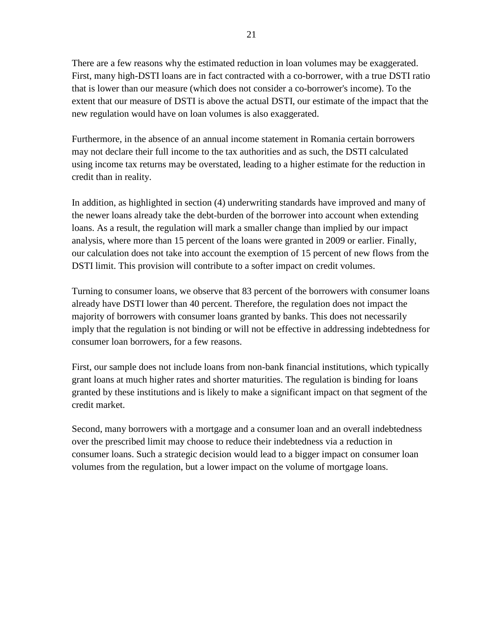There are a few reasons why the estimated reduction in loan volumes may be exaggerated. First, many high-DSTI loans are in fact contracted with a co-borrower, with a true DSTI ratio that is lower than our measure (which does not consider a co-borrower's income). To the extent that our measure of DSTI is above the actual DSTI, our estimate of the impact that the new regulation would have on loan volumes is also exaggerated.

Furthermore, in the absence of an annual income statement in Romania certain borrowers may not declare their full income to the tax authorities and as such, the DSTI calculated using income tax returns may be overstated, leading to a higher estimate for the reduction in credit than in reality.

In addition, as highlighted in section (4) underwriting standards have improved and many of the newer loans already take the debt-burden of the borrower into account when extending loans. As a result, the regulation will mark a smaller change than implied by our impact analysis, where more than 15 percent of the loans were granted in 2009 or earlier. Finally, our calculation does not take into account the exemption of 15 percent of new flows from the DSTI limit. This provision will contribute to a softer impact on credit volumes.

Turning to consumer loans, we observe that 83 percent of the borrowers with consumer loans already have DSTI lower than 40 percent. Therefore, the regulation does not impact the majority of borrowers with consumer loans granted by banks. This does not necessarily imply that the regulation is not binding or will not be effective in addressing indebtedness for consumer loan borrowers, for a few reasons.

First, our sample does not include loans from non-bank financial institutions, which typically grant loans at much higher rates and shorter maturities. The regulation is binding for loans granted by these institutions and is likely to make a significant impact on that segment of the credit market.

Second, many borrowers with a mortgage and a consumer loan and an overall indebtedness over the prescribed limit may choose to reduce their indebtedness via a reduction in consumer loans. Such a strategic decision would lead to a bigger impact on consumer loan volumes from the regulation, but a lower impact on the volume of mortgage loans.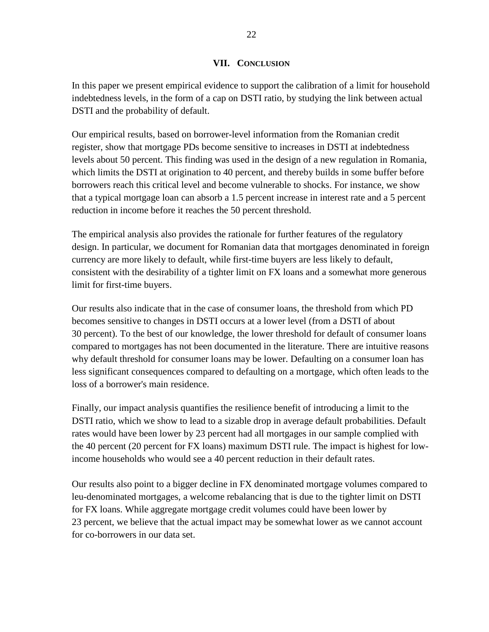## **VII. CONCLUSION**

In this paper we present empirical evidence to support the calibration of a limit for household indebtedness levels, in the form of a cap on DSTI ratio, by studying the link between actual DSTI and the probability of default.

Our empirical results, based on borrower-level information from the Romanian credit register, show that mortgage PDs become sensitive to increases in DSTI at indebtedness levels about 50 percent. This finding was used in the design of a new regulation in Romania, which limits the DSTI at origination to 40 percent, and thereby builds in some buffer before borrowers reach this critical level and become vulnerable to shocks. For instance, we show that a typical mortgage loan can absorb a 1.5 percent increase in interest rate and a 5 percent reduction in income before it reaches the 50 percent threshold.

The empirical analysis also provides the rationale for further features of the regulatory design. In particular, we document for Romanian data that mortgages denominated in foreign currency are more likely to default, while first-time buyers are less likely to default, consistent with the desirability of a tighter limit on FX loans and a somewhat more generous limit for first-time buyers.

Our results also indicate that in the case of consumer loans, the threshold from which PD becomes sensitive to changes in DSTI occurs at a lower level (from a DSTI of about 30 percent). To the best of our knowledge, the lower threshold for default of consumer loans compared to mortgages has not been documented in the literature. There are intuitive reasons why default threshold for consumer loans may be lower. Defaulting on a consumer loan has less significant consequences compared to defaulting on a mortgage, which often leads to the loss of a borrower's main residence.

Finally, our impact analysis quantifies the resilience benefit of introducing a limit to the DSTI ratio, which we show to lead to a sizable drop in average default probabilities. Default rates would have been lower by 23 percent had all mortgages in our sample complied with the 40 percent (20 percent for FX loans) maximum DSTI rule. The impact is highest for lowincome households who would see a 40 percent reduction in their default rates.

<span id="page-21-0"></span>Our results also point to a bigger decline in FX denominated mortgage volumes compared to leu-denominated mortgages, a welcome rebalancing that is due to the tighter limit on DSTI for FX loans. While aggregate mortgage credit volumes could have been lower by 23 percent, we believe that the actual impact may be somewhat lower as we cannot account for co-borrowers in our data set.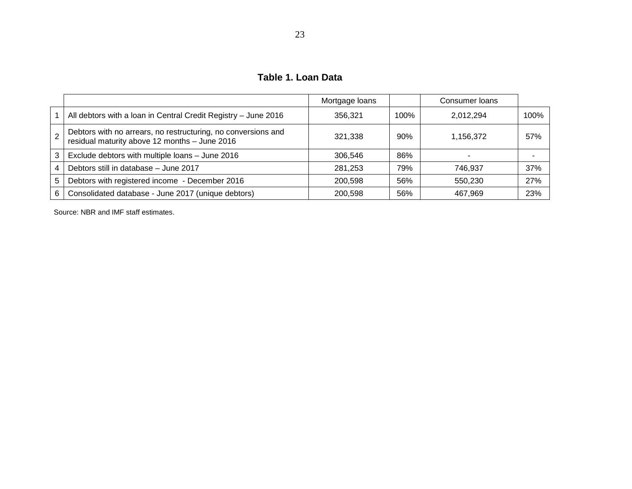**Table 1. Loan Data**

|    |                                                                                                                | Mortgage loans |      | Consumer Ioans |      |
|----|----------------------------------------------------------------------------------------------------------------|----------------|------|----------------|------|
|    | All debtors with a loan in Central Credit Registry - June 2016                                                 | 356.321        | 100% | 2,012,294      | 100% |
|    | Debtors with no arrears, no restructuring, no conversions and<br>residual maturity above 12 months - June 2016 | 321.338        | 90%  | 1,156,372      | 57%  |
| 3  | Exclude debtors with multiple loans - June 2016                                                                | 306.546        | 86%  |                |      |
|    | Debtors still in database - June 2017                                                                          | 281,253        | 79%  | 746.937        | 37%  |
| 5. | Debtors with registered income - December 2016                                                                 | 200.598        | 56%  | 550,230        | 27%  |
| 6  | Consolidated database - June 2017 (unique debtors)                                                             | 200.598        | 56%  | 467,969        | 23%  |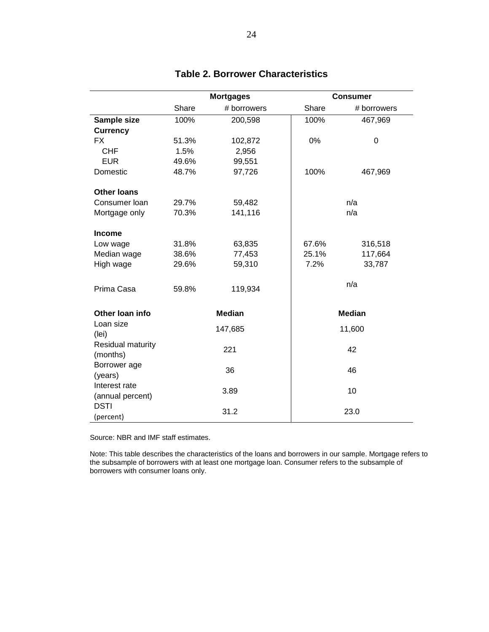|                               | <b>Mortgages</b> |               |       | <b>Consumer</b> |
|-------------------------------|------------------|---------------|-------|-----------------|
|                               | Share            | # borrowers   | Share | # borrowers     |
| Sample size                   | 100%             | 200,598       | 100%  | 467,969         |
| <b>Currency</b>               |                  |               |       |                 |
| <b>FX</b>                     | 51.3%            | 102,872       | 0%    | 0               |
| <b>CHF</b>                    | 1.5%             | 2,956         |       |                 |
| <b>EUR</b>                    | 49.6%            | 99,551        |       |                 |
| Domestic                      | 48.7%            | 97,726        | 100%  | 467,969         |
| <b>Other loans</b>            |                  |               |       |                 |
| Consumer Ioan                 | 29.7%            | 59,482        |       | n/a             |
| Mortgage only                 | 70.3%            | 141,116       |       | n/a             |
|                               |                  |               |       |                 |
| <b>Income</b>                 |                  |               |       |                 |
| Low wage                      | 31.8%            | 63,835        | 67.6% | 316,518         |
| Median wage                   | 38.6%            | 77,453        | 25.1% | 117,664         |
| High wage                     | 29.6%            | 59,310        | 7.2%  | 33,787          |
|                               |                  |               |       |                 |
| Prima Casa                    | 59.8%            | 119,934       |       | n/a             |
|                               |                  |               |       |                 |
| Other Ioan info               |                  | <b>Median</b> |       | <b>Median</b>   |
| Loan size<br>(lei)            |                  | 147,685       |       | 11,600          |
| Residual maturity<br>(months) |                  | 221           |       | 42              |
| Borrower age                  |                  | 36            |       | 46              |
| (years)                       |                  |               |       |                 |
| Interest rate                 |                  | 3.89          |       | 10              |
| (annual percent)              |                  |               |       |                 |
| <b>DSTI</b>                   |                  | 31.2          |       | 23.0            |
| (percent)                     |                  |               |       |                 |

# **Table 2. Borrower Characteristics**

Source: NBR and IMF staff estimates.

Note: This table describes the characteristics of the loans and borrowers in our sample. Mortgage refers to the subsample of borrowers with at least one mortgage loan. Consumer refers to the subsample of borrowers with consumer loans only.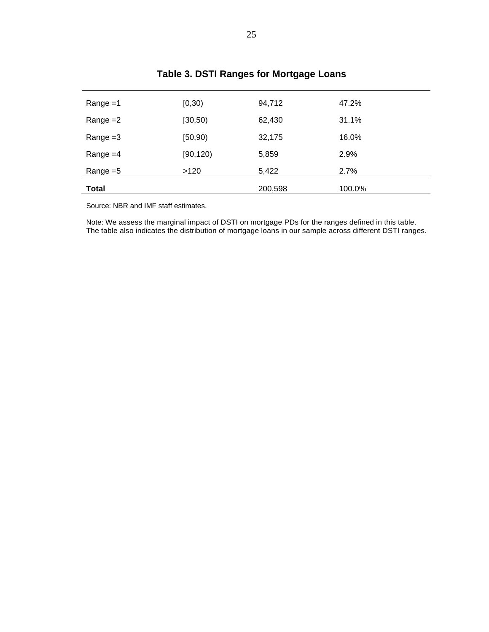| $Range = 1$  | [0, 30)   | 94,712  | 47.2%  |
|--------------|-----------|---------|--------|
| Range $=2$   | [30, 50)  | 62,430  | 31.1%  |
| Range $=3$   | [50, 90)  | 32,175  | 16.0%  |
| Range $=4$   | [90, 120] | 5,859   | 2.9%   |
| Range $=5$   | >120      | 5,422   | 2.7%   |
| <b>Total</b> |           | 200,598 | 100.0% |

# **Table 3. DSTI Ranges for Mortgage Loans**

Source: NBR and IMF staff estimates.

Note: We assess the marginal impact of DSTI on mortgage PDs for the ranges defined in this table. The table also indicates the distribution of mortgage loans in our sample across different DSTI ranges.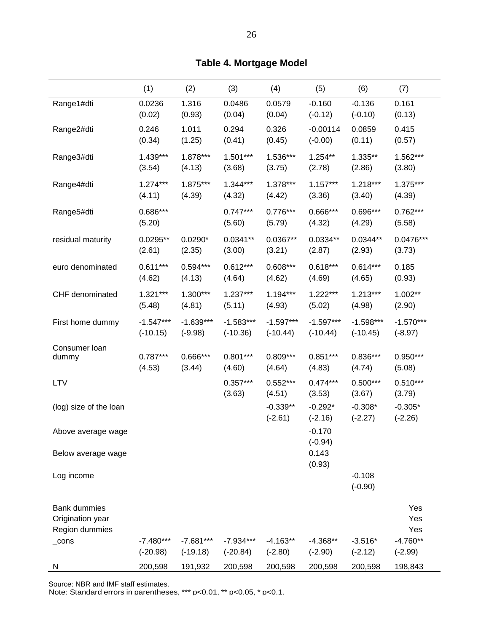|                                                           | (1)                | (2)         | (3)                  | (4)                     | (5)                    | (6)                    | (7)                    |
|-----------------------------------------------------------|--------------------|-------------|----------------------|-------------------------|------------------------|------------------------|------------------------|
| Range1#dti                                                | 0.0236             | 1.316       | 0.0486               | 0.0579                  | $-0.160$               | $-0.136$               | 0.161                  |
|                                                           | (0.02)             | (0.93)      | (0.04)               | (0.04)                  | $(-0.12)$              | $(-0.10)$              | (0.13)                 |
| Range2#dti                                                | 0.246              | 1.011       | 0.294                | 0.326                   | $-0.00114$             | 0.0859                 | 0.415                  |
|                                                           | (0.34)             | (1.25)      | (0.41)               | (0.45)                  | $(-0.00)$              | (0.11)                 | (0.57)                 |
| Range3#dti                                                | $1.439***$         | 1.878***    | $1.501***$           | 1.536***                | $1.254**$              | 1.335**                | 1.562***               |
|                                                           | (3.54)             | (4.13)      | (3.68)               | (3.75)                  | (2.78)                 | (2.86)                 | (3.80)                 |
| Range4#dti                                                | $1.274***$         | 1.875***    | $1.344***$           | 1.378***                | $1.157***$             | $1.218***$             | 1.375***               |
|                                                           | (4.11)             | (4.39)      | (4.32)               | (4.42)                  | (3.36)                 | (3.40)                 | (4.39)                 |
| Range5#dti                                                | 0.686***<br>(5.20) |             | $0.747***$<br>(5.60) | $0.776***$<br>(5.79)    | $0.666***$<br>(4.32)   | 0.696***<br>(4.29)     | $0.762***$<br>(5.58)   |
| residual maturity                                         | $0.0295**$         | $0.0290*$   | $0.0341**$           | $0.0367**$              | $0.0334**$             | $0.0344**$             | $0.0476***$            |
|                                                           | (2.61)             | (2.35)      | (3.00)               | (3.21)                  | (2.87)                 | (2.93)                 | (3.73)                 |
| euro denominated                                          | $0.611***$         | $0.594***$  | $0.612***$           | $0.608***$              | $0.618***$             | $0.614***$             | 0.185                  |
|                                                           | (4.62)             | (4.13)      | (4.64)               | (4.62)                  | (4.69)                 | (4.65)                 | (0.93)                 |
| CHF denominated                                           | $1.321***$         | 1.300***    | 1.237***             | 1.194***                | $1.222***$             | $1.213***$             | 1.002**                |
|                                                           | (5.48)             | (4.81)      | (5.11)               | (4.93)                  | (5.02)                 | (4.98)                 | (2.90)                 |
| First home dummy                                          | $-1.547***$        | $-1.639***$ | $-1.583***$          | $-1.597***$             | $-1.597***$            | $-1.598***$            | $-1.570***$            |
|                                                           | $(-10.15)$         | $(-9.98)$   | $(-10.36)$           | $(-10.44)$              | $(-10.44)$             | $(-10.45)$             | $(-8.97)$              |
| Consumer Ioan                                             | $0.787***$         | 0.666***    | $0.801***$           | $0.809***$              | $0.851***$             | $0.836***$             | 0.950***               |
| dummy                                                     | (4.53)             | (3.44)      | (4.60)               | (4.64)                  | (4.83)                 | (4.74)                 | (5.08)                 |
| <b>LTV</b>                                                |                    |             | $0.357***$<br>(3.63) | $0.552***$<br>(4.51)    | $0.474***$<br>(3.53)   | $0.500***$<br>(3.67)   | $0.510***$<br>(3.79)   |
| (log) size of the loan                                    |                    |             |                      | $-0.339**$<br>$(-2.61)$ | $-0.292*$<br>$(-2.16)$ | $-0.308*$<br>$(-2.27)$ | $-0.305*$<br>$(-2.26)$ |
| Above average wage                                        |                    |             |                      |                         | $-0.170$<br>$(-0.94)$  |                        |                        |
| Below average wage                                        |                    |             |                      |                         | 0.143<br>(0.93)        |                        |                        |
| Log income                                                |                    |             |                      |                         |                        | $-0.108$<br>$(-0.90)$  |                        |
| <b>Bank dummies</b><br>Origination year<br>Region dummies |                    |             |                      |                         |                        |                        | Yes<br>Yes<br>Yes      |
| $\_cons$                                                  | $-7.480***$        | $-7.681***$ | $-7.934***$          | $-4.163**$              | $-4.368**$             | $-3.516*$              | $-4.760**$             |
|                                                           | $(-20.98)$         | $(-19.18)$  | $(-20.84)$           | $(-2.80)$               | $(-2.90)$              | $(-2.12)$              | $(-2.99)$              |
| N                                                         | 200,598            | 191,932     | 200,598              | 200,598                 | 200,598                | 200,598                | 198,843                |

**Table 4. Mortgage Model**

Note: Standard errors in parentheses, \*\*\* p<0.01, \*\* p<0.05, \* p<0.1.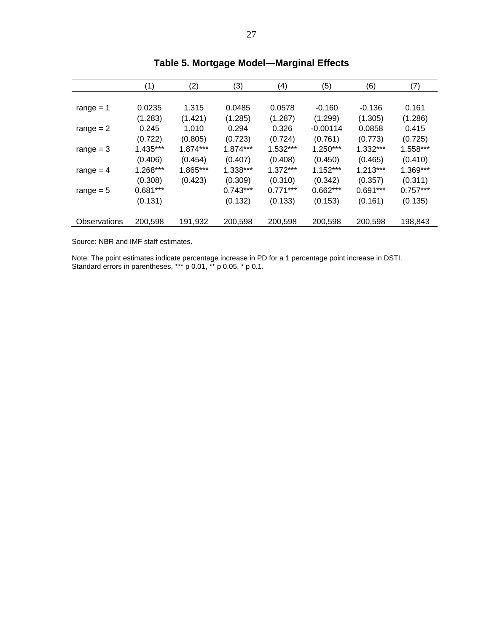|              | (1)        | (2)      | (3)        | (4)        | (5)        | (6)        | (7)        |
|--------------|------------|----------|------------|------------|------------|------------|------------|
|              |            |          |            |            |            |            |            |
| range $= 1$  | 0.0235     | 1.315    | 0.0485     | 0.0578     | $-0.160$   | $-0.136$   | 0.161      |
|              | (1.283)    | (1.421)  | (1.285)    | (1.287)    | (1.299)    | (1.305)    | (1.286)    |
| range $= 2$  | 0.245      | 1.010    | 0.294      | 0.326      | $-0.00114$ | 0.0858     | 0.415      |
|              | (0.722)    | (0.805)  | (0.723)    | (0.724)    | (0.761)    | (0.773)    | (0.725)    |
| range $=$ 3  | $1.435***$ | 1.874*** | $1.874***$ | $1.532***$ | $1.250***$ | $1.332***$ | 1.558***   |
|              | (0.406)    | (0.454)  | (0.407)    | (0.408)    | (0.450)    | (0.465)    | (0.410)    |
| range $=$ 4  | 1.268***   | 1.865*** | $1.338***$ | $1.372***$ | $1.152***$ | $1.213***$ | $1.369***$ |
|              | (0.308)    | (0.423)  | (0.309)    | (0.310)    | (0.342)    | (0.357)    | (0.311)    |
| range $= 5$  | $0.681***$ |          | $0.743***$ | $0.771***$ | $0.662***$ | $0.691***$ | $0.757***$ |
|              | (0.131)    |          | (0.132)    | (0.133)    | (0.153)    | (0.161)    | (0.135)    |
|              |            |          |            |            |            |            |            |
| Observations | 200,598    | 191,932  | 200,598    | 200,598    | 200,598    | 200,598    | 198,843    |

# **Table 5. Mortgage Model—Marginal Effects**

Source: NBR and IMF staff estimates.

Note: The point estimates indicate percentage increase in PD for a 1 percentage point increase in DSTI. Standard errors in parentheses, \*\*\* p 0.01, \*\* p 0.05, \* p 0.1.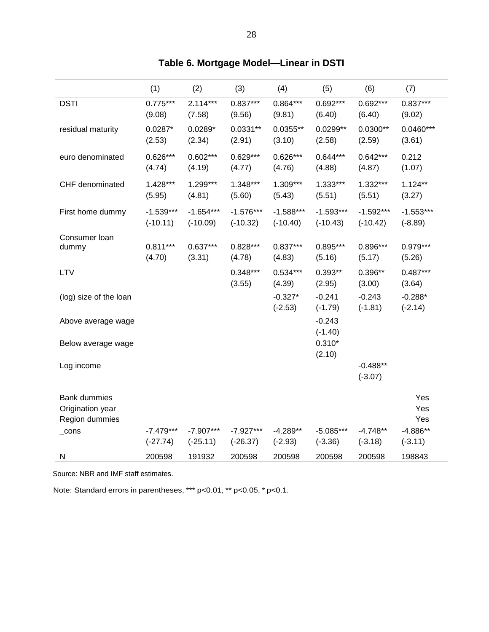|                                                           | (1)                       | (2)                       | (3)                       | (4)                       | (5)                       | (6)                       | (7)                      |
|-----------------------------------------------------------|---------------------------|---------------------------|---------------------------|---------------------------|---------------------------|---------------------------|--------------------------|
| <b>DSTI</b>                                               | $0.775***$<br>(9.08)      | $2.114***$<br>(7.58)      | $0.837***$<br>(9.56)      | 0.864***<br>(9.81)        | 0.692***<br>(6.40)        | 0.692***<br>(6.40)        | $0.837***$<br>(9.02)     |
| residual maturity                                         | $0.0287*$<br>(2.53)       | $0.0289*$<br>(2.34)       | $0.0331**$<br>(2.91)      | $0.0355**$<br>(3.10)      | $0.0299**$<br>(2.58)      | $0.0300**$<br>(2.59)      | $0.0460***$<br>(3.61)    |
| euro denominated                                          | $0.626***$<br>(4.74)      | $0.602***$<br>(4.19)      | $0.629***$<br>(4.77)      | $0.626***$<br>(4.76)      | $0.644***$<br>(4.88)      | $0.642***$<br>(4.87)      | 0.212<br>(1.07)          |
| CHF denominated                                           | 1.428***<br>(5.95)        | 1.299***<br>(4.81)        | 1.348***<br>(5.60)        | 1.309***<br>(5.43)        | $1.333***$<br>(5.51)      | $1.332***$<br>(5.51)      | $1.124**$<br>(3.27)      |
| First home dummy                                          | $-1.539***$<br>$(-10.11)$ | $-1.654***$<br>$(-10.09)$ | $-1.576***$<br>$(-10.32)$ | $-1.588***$<br>$(-10.40)$ | $-1.593***$<br>$(-10.43)$ | $-1.592***$<br>$(-10.42)$ | $-1.553***$<br>$(-8.89)$ |
| Consumer loan<br>dummy                                    | $0.811***$<br>(4.70)      | $0.637***$<br>(3.31)      | $0.828***$<br>(4.78)      | $0.837***$<br>(4.83)      | $0.895***$<br>(5.16)      | 0.896***<br>(5.17)        | $0.979***$<br>(5.26)     |
| LTV                                                       |                           |                           | 0.348***<br>(3.55)        | $0.534***$<br>(4.39)      | $0.393**$<br>(2.95)       | 0.396**<br>(3.00)         | $0.487***$<br>(3.64)     |
| (log) size of the loan                                    |                           |                           |                           | $-0.327*$<br>$(-2.53)$    | $-0.241$<br>$(-1.79)$     | $-0.243$<br>$(-1.81)$     | $-0.288*$<br>$(-2.14)$   |
| Above average wage                                        |                           |                           |                           |                           | $-0.243$<br>$(-1.40)$     |                           |                          |
| Below average wage                                        |                           |                           |                           |                           | $0.310*$<br>(2.10)        |                           |                          |
| Log income                                                |                           |                           |                           |                           |                           | $-0.488**$<br>$(-3.07)$   |                          |
| <b>Bank dummies</b><br>Origination year<br>Region dummies |                           |                           |                           |                           |                           |                           | Yes<br>Yes<br>Yes        |
| $\_cons$                                                  | $-7.479***$<br>$(-27.74)$ | $-7.907***$<br>$(-25.11)$ | $-7.927***$<br>$(-26.37)$ | $-4.289**$<br>$(-2.93)$   | $-5.085***$<br>$(-3.36)$  | $-4.748**$<br>$(-3.18)$   | $-4.886**$<br>$(-3.11)$  |
| N                                                         | 200598                    | 191932                    | 200598                    | 200598                    | 200598                    | 200598                    | 198843                   |

|  | Table 6. Mortgage Model—Linear in DSTI |  |  |  |  |
|--|----------------------------------------|--|--|--|--|
|--|----------------------------------------|--|--|--|--|

Note: Standard errors in parentheses, \*\*\* p<0.01, \*\* p<0.05, \* p<0.1.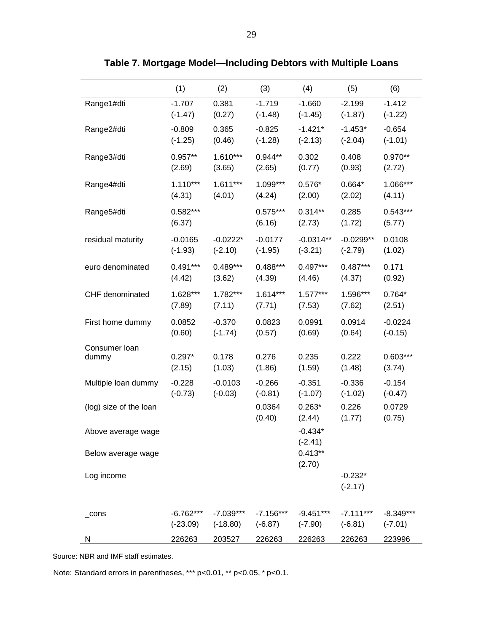|                        | (1)                  | (2)        | (3)                  | (4)                    | (5)                    | (6)                  |
|------------------------|----------------------|------------|----------------------|------------------------|------------------------|----------------------|
| Range1#dti             | $-1.707$             | 0.381      | $-1.719$             | $-1.660$               | $-2.199$               | $-1.412$             |
|                        | $(-1.47)$            | (0.27)     | $(-1.48)$            | $(-1.45)$              | $(-1.87)$              | $(-1.22)$            |
| Range2#dti             | $-0.809$             | 0.365      | $-0.825$             | $-1.421*$              | $-1.453*$              | $-0.654$             |
|                        | $(-1.25)$            | (0.46)     | $(-1.28)$            | $(-2.13)$              | $(-2.04)$              | $(-1.01)$            |
| Range3#dti             | $0.957**$            | $1.610***$ | $0.944**$            | 0.302                  | 0.408                  | $0.970**$            |
|                        | (2.69)               | (3.65)     | (2.65)               | (0.77)                 | (0.93)                 | (2.72)               |
| Range4#dti             | $1.110***$           | $1.611***$ | 1.099***             | $0.576*$               | $0.664*$               | 1.066***             |
|                        | (4.31)               | (4.01)     | (4.24)               | (2.00)                 | (2.02)                 | (4.11)               |
| Range5#dti             | $0.582***$<br>(6.37) |            | $0.575***$<br>(6.16) | $0.314**$<br>(2.73)    | 0.285<br>(1.72)        | $0.543***$<br>(5.77) |
| residual maturity      | $-0.0165$            | $-0.0222*$ | $-0.0177$            | $-0.0314**$            | $-0.0299**$            | 0.0108               |
|                        | $(-1.93)$            | $(-2.10)$  | $(-1.95)$            | $(-3.21)$              | $(-2.79)$              | (1.02)               |
| euro denominated       | $0.491***$           | $0.489***$ | $0.488***$           | $0.497***$             | $0.487***$             | 0.171                |
|                        | (4.42)               | (3.62)     | (4.39)               | (4.46)                 | (4.37)                 | (0.92)               |
| CHF denominated        | 1.628***             | 1.782***   | $1.614***$           | $1.577***$             | 1.596***               | $0.764*$             |
|                        | (7.89)               | (7.11)     | (7.71)               | (7.53)                 | (7.62)                 | (2.51)               |
| First home dummy       | 0.0852               | $-0.370$   | 0.0823               | 0.0991                 | 0.0914                 | $-0.0224$            |
|                        | (0.60)               | $(-1.74)$  | (0.57)               | (0.69)                 | (0.64)                 | $(-0.15)$            |
| Consumer loan          | $0.297*$             | 0.178      | 0.276                | 0.235                  | 0.222                  | $0.603***$           |
| dummy                  | (2.15)               | (1.03)     | (1.86)               | (1.59)                 | (1.48)                 | (3.74)               |
| Multiple loan dummy    | $-0.228$             | $-0.0103$  | $-0.266$             | $-0.351$               | $-0.336$               | $-0.154$             |
|                        | $(-0.73)$            | $(-0.03)$  | $(-0.81)$            | $(-1.07)$              | $(-1.02)$              | $(-0.47)$            |
| (log) size of the loan |                      |            | 0.0364<br>(0.40)     | $0.263*$<br>(2.44)     | 0.226<br>(1.77)        | 0.0729<br>(0.75)     |
| Above average wage     |                      |            |                      | $-0.434*$<br>$(-2.41)$ |                        |                      |
| Below average wage     |                      |            |                      | $0.413**$<br>(2.70)    |                        |                      |
| Log income             |                      |            |                      |                        | $-0.232*$<br>$(-2.17)$ |                      |
| $\_cons$               | -6.762***            | -7.039***  | $-7.156***$          | $-9.451***$            | $-7.111***$            | $-8.349***$          |
|                        | $(-23.09)$           | $(-18.80)$ | $(-6.87)$            | $(-7.90)$              | $(-6.81)$              | $(-7.01)$            |
| N                      | 226263               | 203527     | 226263               | 226263                 | 226263                 | 223996               |

**Table 7. Mortgage Model—Including Debtors with Multiple Loans**

Note: Standard errors in parentheses, \*\*\* p<0.01, \*\* p<0.05, \* p<0.1.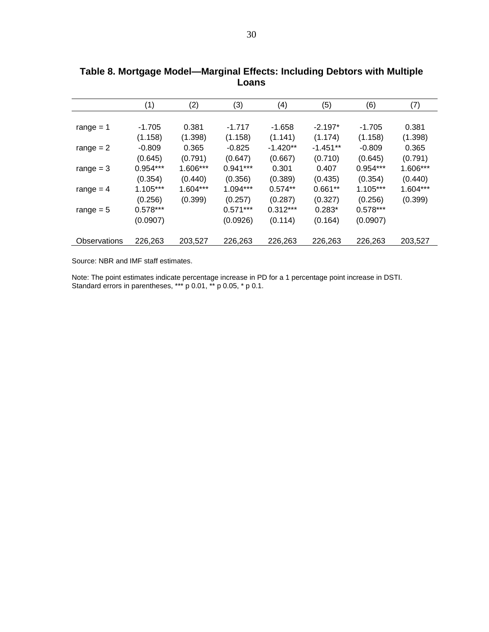|              | (1)        | (2)      | (3)        | (4)        | (5)        | (6)        | (7)        |
|--------------|------------|----------|------------|------------|------------|------------|------------|
|              |            |          |            |            |            |            |            |
| range $= 1$  | $-1.705$   | 0.381    | $-1.717$   | $-1.658$   | $-2.197*$  | $-1.705$   | 0.381      |
|              | (1.158)    | (1.398)  | (1.158)    | (1.141)    | (1.174)    | (1.158)    | (1.398)    |
| range $= 2$  | $-0.809$   | 0.365    | $-0.825$   | $-1.420**$ | $-1.451**$ | $-0.809$   | 0.365      |
|              | (0.645)    | (0.791)  | (0.647)    | (0.667)    | (0.710)    | (0.645)    | (0.791)    |
| range $=$ 3  | $0.954***$ | 1.606*** | $0.941***$ | 0.301      | 0.407      | $0.954***$ | 1.606***   |
|              | (0.354)    | (0.440)  | (0.356)    | (0.389)    | (0.435)    | (0.354)    | (0.440)    |
| range $= 4$  | $1.105***$ | 1.604*** | $1.094***$ | $0.574**$  | $0.661**$  | $1.105***$ | $1.604***$ |
|              | (0.256)    | (0.399)  | (0.257)    | (0.287)    | (0.327)    | (0.256)    | (0.399)    |
| range $= 5$  | $0.578***$ |          | $0.571***$ | $0.312***$ | $0.283*$   | $0.578***$ |            |
|              | (0.0907)   |          | (0.0926)   | (0.114)    | (0.164)    | (0.0907)   |            |
|              |            |          |            |            |            |            |            |
| Observations | 226,263    | 203,527  | 226,263    | 226,263    | 226,263    | 226,263    | 203,527    |

**Table 8. Mortgage Model—Marginal Effects: Including Debtors with Multiple Loans**

Note: The point estimates indicate percentage increase in PD for a 1 percentage point increase in DSTI. Standard errors in parentheses, \*\*\* p 0.01, \*\* p 0.05, \* p 0.1.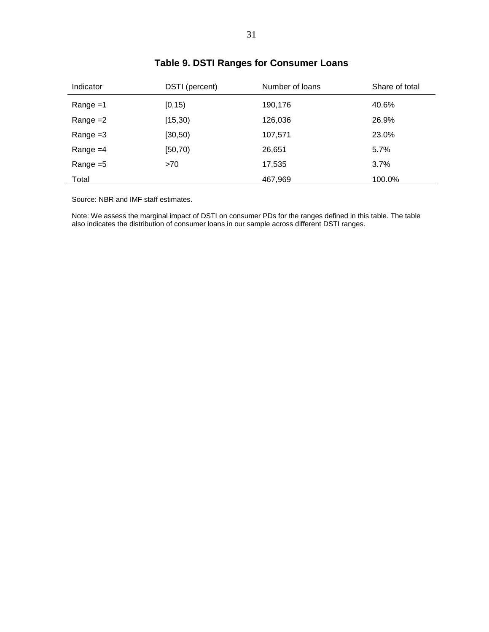| Indicator   | DSTI (percent) | Number of loans | Share of total |
|-------------|----------------|-----------------|----------------|
| $Range = 1$ | [0, 15)        | 190,176         | 40.6%          |
| Range $=2$  | [15, 30)       | 126,036         | 26.9%          |
| Range $=3$  | [30, 50)       | 107,571         | 23.0%          |
| Range $=4$  | [50, 70)       | 26,651          | 5.7%           |
| Range $=5$  | >70            | 17,535          | 3.7%           |
| Total       |                | 467,969         | 100.0%         |

# **Table 9. DSTI Ranges for Consumer Loans**

Source: NBR and IMF staff estimates.

Note: We assess the marginal impact of DSTI on consumer PDs for the ranges defined in this table. The table also indicates the distribution of consumer loans in our sample across different DSTI ranges.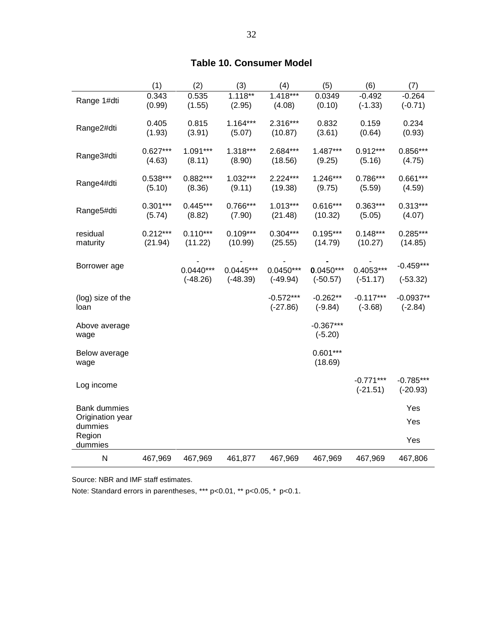# **Table 10. Consumer Model**

|                                                    | (1)                   | (2)                       | (3)                       | (4)                       | (5)                       | (6)                       | (7)                       |
|----------------------------------------------------|-----------------------|---------------------------|---------------------------|---------------------------|---------------------------|---------------------------|---------------------------|
| Range 1#dti                                        | 0.343<br>(0.99)       | 0.535<br>(1.55)           | $1.118***$<br>(2.95)      | $1.418***$<br>(4.08)      | 0.0349<br>(0.10)          | $-0.492$<br>$(-1.33)$     | $-0.264$<br>$(-0.71)$     |
| Range2#dti                                         | 0.405<br>(1.93)       | 0.815<br>(3.91)           | $1.164***$<br>(5.07)      | 2.316***<br>(10.87)       | 0.832<br>(3.61)           | 0.159<br>(0.64)           | 0.234<br>(0.93)           |
| Range3#dti                                         | $0.627***$<br>(4.63)  | $1.091***$<br>(8.11)      | $1.318***$<br>(8.90)      | 2.684***<br>(18.56)       | 1.487***<br>(9.25)        | $0.912***$<br>(5.16)      | $0.856***$<br>(4.75)      |
| Range4#dti                                         | $0.538***$<br>(5.10)  | $0.882***$<br>(8.36)      | $1.032***$<br>(9.11)      | $2.224***$<br>(19.38)     | $1.246***$<br>(9.75)      | $0.786***$<br>(5.59)      | $0.661***$<br>(4.59)      |
| Range5#dti                                         | $0.301***$<br>(5.74)  | $0.445***$<br>(8.82)      | $0.766***$<br>(7.90)      | $1.013***$<br>(21.48)     | $0.616***$<br>(10.32)     | $0.363***$<br>(5.05)      | $0.313***$<br>(4.07)      |
| residual<br>maturity                               | $0.212***$<br>(21.94) | $0.110***$<br>(11.22)     | $0.109***$<br>(10.99)     | $0.304***$<br>(25.55)     | $0.195***$<br>(14.79)     | $0.148***$<br>(10.27)     | $0.285***$<br>(14.85)     |
| Borrower age                                       |                       | $0.0440***$<br>$(-48.26)$ | $0.0445***$<br>$(-48.39)$ | $0.0450***$<br>$(-49.94)$ | $0.0450***$<br>$(-50.57)$ | $0.4053***$<br>$(-51.17)$ | $-0.459***$<br>$(-53.32)$ |
| (log) size of the<br>loan                          |                       |                           |                           | $-0.572***$<br>$(-27.86)$ | $-0.262**$<br>$(-9.84)$   | $-0.117***$<br>$(-3.68)$  | $-0.0937**$<br>$(-2.84)$  |
| Above average<br>wage                              |                       |                           |                           |                           | $-0.367***$<br>$(-5.20)$  |                           |                           |
| Below average<br>wage                              |                       |                           |                           |                           | $0.601***$<br>(18.69)     |                           |                           |
| Log income                                         |                       |                           |                           |                           |                           | $-0.771***$<br>$(-21.51)$ | $-0.785***$<br>$(-20.93)$ |
| <b>Bank dummies</b><br>Origination year<br>dummies |                       |                           |                           |                           |                           |                           | Yes<br>Yes                |
| Region<br>dummies                                  |                       |                           |                           |                           |                           |                           | Yes                       |
| N                                                  | 467,969               | 467,969                   | 461,877                   | 467,969                   | 467,969                   | 467,969                   | 467,806                   |

Source: NBR and IMF staff estimates.

Note: Standard errors in parentheses, \*\*\* p<0.01, \*\* p<0.05, \* p<0.1.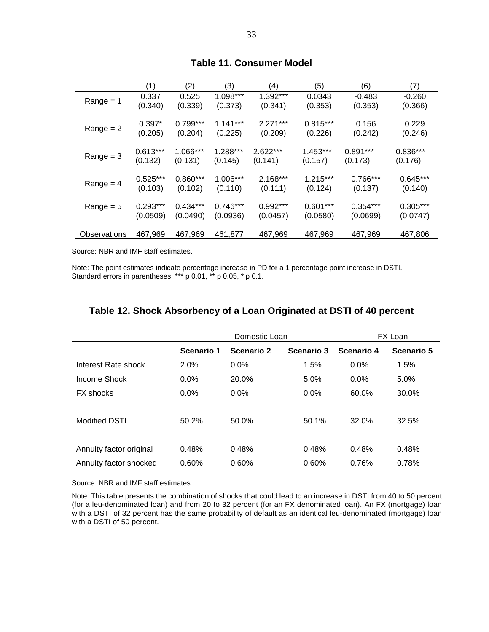|              | (1)        | (2)        | (3)        | (4)        | (5)        | (6)        | (7)        |
|--------------|------------|------------|------------|------------|------------|------------|------------|
| $Range = 1$  | 0.337      | 0.525      | $1.098***$ | 1.392***   | 0.0343     | $-0.483$   | $-0.260$   |
|              | (0.340)    | (0.339)    | (0.373)    | (0.341)    | (0.353)    | (0.353)    | (0.366)    |
| $Range = 2$  | $0.397*$   | $0.799***$ | $1.141***$ | $2.271***$ | $0.815***$ | 0.156      | 0.229      |
|              | (0.205)    | (0.204)    | (0.225)    | (0.209)    | (0.226)    | (0.242)    | (0.246)    |
| $Range = 3$  | $0.613***$ | 1.066***   | $1.288***$ | $2.622***$ | $1.453***$ | $0.891***$ | $0.836***$ |
|              | (0.132)    | (0.131)    | (0.145)    | (0.141)    | (0.157)    | (0.173)    | (0.176)    |
| $Range = 4$  | $0.525***$ | $0.860***$ | $1.006***$ | $2.168***$ | $1.215***$ | 0.766***   | $0.645***$ |
|              | (0.103)    | (0.102)    | (0.110)    | (0.111)    | (0.124)    | (0.137)    | (0.140)    |
| $Range = 5$  | $0.293***$ | $0.434***$ | $0.746***$ | $0.992***$ | $0.601***$ | $0.354***$ | $0.305***$ |
|              | (0.0509)   | (0.0490)   | (0.0936)   | (0.0457)   | (0.0580)   | (0.0699)   | (0.0747)   |
| Observations | 467,969    | 467,969    | 461,877    | 467,969    | 467,969    | 467,969    | 467,806    |

#### **Table 11. Consumer Model**

Source: NBR and IMF staff estimates.

Note: The point estimates indicate percentage increase in PD for a 1 percentage point increase in DSTI. Standard errors in parentheses, \*\*\* p 0.01, \*\* p 0.05, \* p 0.1.

|                         |            | Domestic Loan |            |            | FX Loan    |
|-------------------------|------------|---------------|------------|------------|------------|
|                         | Scenario 1 | Scenario 2    | Scenario 3 | Scenario 4 | Scenario 5 |
| Interest Rate shock     | 2.0%       | $0.0\%$       | 1.5%       | $0.0\%$    | 1.5%       |
| Income Shock            | $0.0\%$    | 20.0%         | 5.0%       | $0.0\%$    | 5.0%       |
| FX shocks               | $0.0\%$    | $0.0\%$       | $0.0\%$    | 60.0%      | 30.0%      |
| <b>Modified DSTI</b>    | 50.2%      | 50.0%         | 50.1%      | 32.0%      | 32.5%      |
|                         |            |               |            |            |            |
| Annuity factor original | 0.48%      | 0.48%         | 0.48%      | 0.48%      | 0.48%      |
| Annuity factor shocked  | 0.60%      | 0.60%         | 0.60%      | 0.76%      | 0.78%      |

# **Table 12. Shock Absorbency of a Loan Originated at DSTI of 40 percent**

Source: NBR and IMF staff estimates.

Note: This table presents the combination of shocks that could lead to an increase in DSTI from 40 to 50 percent (for a leu-denominated loan) and from 20 to 32 percent (for an FX denominated loan). An FX (mortgage) loan with a DSTI of 32 percent has the same probability of default as an identical leu-denominated (mortgage) loan with a DSTI of 50 percent.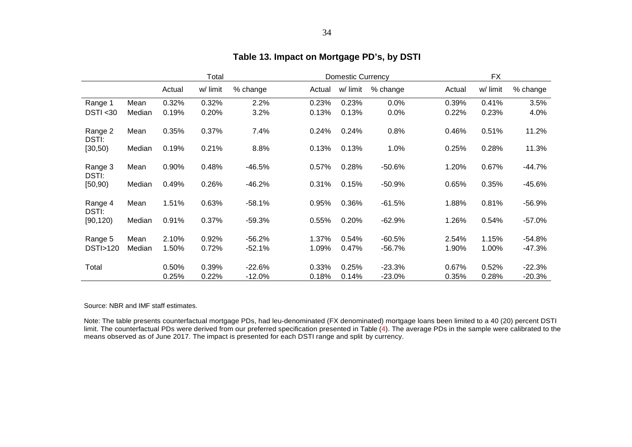|                  |        |        | Total    | <b>Domestic Currency</b> |        |          |          | <b>FX</b> |          |          |  |
|------------------|--------|--------|----------|--------------------------|--------|----------|----------|-----------|----------|----------|--|
|                  |        | Actual | w/ limit | % change                 | Actual | w/ limit | % change | Actual    | w/ limit | % change |  |
| Range 1          | Mean   | 0.32%  | 0.32%    | 2.2%                     | 0.23%  | 0.23%    | 0.0%     | 0.39%     | 0.41%    | 3.5%     |  |
| DSTI < 30        | Median | 0.19%  | 0.20%    | 3.2%                     | 0.13%  | 0.13%    | 0.0%     | 0.22%     | 0.23%    | 4.0%     |  |
| Range 2<br>DSTI: | Mean   | 0.35%  | 0.37%    | 7.4%                     | 0.24%  | 0.24%    | 0.8%     | 0.46%     | 0.51%    | 11.2%    |  |
| [30, 50)         | Median | 0.19%  | 0.21%    | 8.8%                     | 0.13%  | 0.13%    | 1.0%     | 0.25%     | 0.28%    | 11.3%    |  |
| Range 3<br>DSTI: | Mean   | 0.90%  | 0.48%    | $-46.5%$                 | 0.57%  | 0.28%    | $-50.6%$ | 1.20%     | 0.67%    | $-44.7%$ |  |
| [50, 90)         | Median | 0.49%  | 0.26%    | $-46.2%$                 | 0.31%  | 0.15%    | $-50.9%$ | 0.65%     | 0.35%    | $-45.6%$ |  |
| Range 4<br>DSTI: | Mean   | 1.51%  | 0.63%    | $-58.1%$                 | 0.95%  | 0.36%    | $-61.5%$ | 1.88%     | 0.81%    | $-56.9%$ |  |
| [90, 120)        | Median | 0.91%  | 0.37%    | $-59.3%$                 | 0.55%  | 0.20%    | $-62.9%$ | 1.26%     | 0.54%    | $-57.0%$ |  |
| Range 5          | Mean   | 2.10%  | 0.92%    | $-56.2%$                 | 1.37%  | 0.54%    | $-60.5%$ | 2.54%     | 1.15%    | $-54.8%$ |  |
| DSTI>120         | Median | 1.50%  | 0.72%    | $-52.1%$                 | 1.09%  | 0.47%    | $-56.7%$ | 1.90%     | 1.00%    | -47.3%   |  |
| Total            |        | 0.50%  | 0.39%    | $-22.6%$                 | 0.33%  | 0.25%    | $-23.3%$ | 0.67%     | 0.52%    | $-22.3%$ |  |
|                  |        | 0.25%  | 0.22%    | $-12.0%$                 | 0.18%  | 0.14%    | $-23.0%$ | 0.35%     | 0.28%    | -20.3%   |  |

# **Table 13. Impact on Mortgage PD's, by DSTI**

Source: NBR and IMF staff estimates.

Note: The table presents counterfactual mortgage PDs, had leu-denominated (FX denominated) mortgage loans been limited to a 40 (20) percent DSTI limit. The counterfactual PDs were derived from our preferred specification presented in Table (4). The average PDs in the sample were calibrated to the means observed as of June 2017. The impact is presented for each DSTI range and split by currency.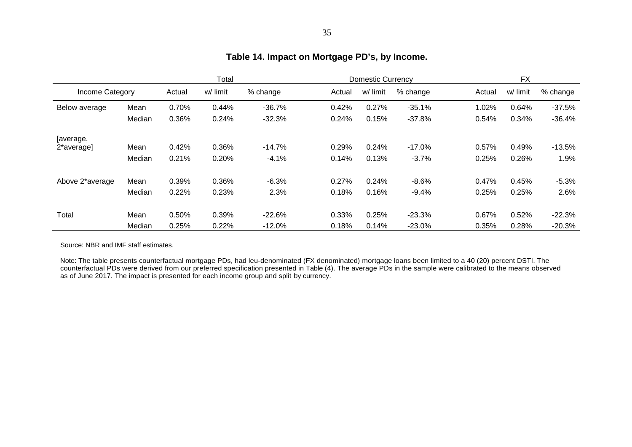|                 |        |        | Total    | <b>Domestic Currency</b> |        |          |          | <b>FX</b> |          |          |
|-----------------|--------|--------|----------|--------------------------|--------|----------|----------|-----------|----------|----------|
| Income Category |        | Actual | w/ limit | % change                 | Actual | w/ limit | % change | Actual    | w/ limit | % change |
| Below average   | Mean   | 0.70%  | 0.44%    | $-36.7%$                 | 0.42%  | 0.27%    | $-35.1%$ | 1.02%     | 0.64%    | $-37.5%$ |
|                 | Median | 0.36%  | 0.24%    | $-32.3%$                 | 0.24%  | 0.15%    | $-37.8%$ | 0.54%     | 0.34%    | -36.4%   |
| [average,       |        |        |          |                          |        |          |          |           |          |          |
| 2*average]      | Mean   | 0.42%  | 0.36%    | $-14.7%$                 | 0.29%  | 0.24%    | $-17.0%$ | 0.57%     | 0.49%    | $-13.5%$ |
|                 | Median | 0.21%  | 0.20%    | $-4.1%$                  | 0.14%  | 0.13%    | $-3.7%$  | 0.25%     | 0.26%    | 1.9%     |
| Above 2*average | Mean   | 0.39%  | 0.36%    | $-6.3%$                  | 0.27%  | 0.24%    | $-8.6%$  | 0.47%     | 0.45%    | $-5.3%$  |
|                 | Median | 0.22%  | 0.23%    | 2.3%                     | 0.18%  | 0.16%    | $-9.4%$  | 0.25%     | 0.25%    | 2.6%     |
|                 |        |        |          |                          |        |          |          |           |          |          |
| Total           | Mean   | 0.50%  | 0.39%    | $-22.6%$                 | 0.33%  | 0.25%    | $-23.3%$ | 0.67%     | 0.52%    | $-22.3%$ |
|                 | Median | 0.25%  | 0.22%    | $-12.0%$                 | 0.18%  | 0.14%    | $-23.0%$ | 0.35%     | 0.28%    | $-20.3%$ |

# **Table 14. Impact on Mortgage PD's, by Income.**

Source: NBR and IMF staff estimates.

Note: The table presents counterfactual mortgage PDs, had leu-denominated (FX denominated) mortgage loans been limited to a 40 (20) percent DSTI. The counterfactual PDs were derived from our preferred specification presented in Table (4). The average PDs in the sample were calibrated to the means observed as of June 2017. The impact is presented for each income group and split by currency.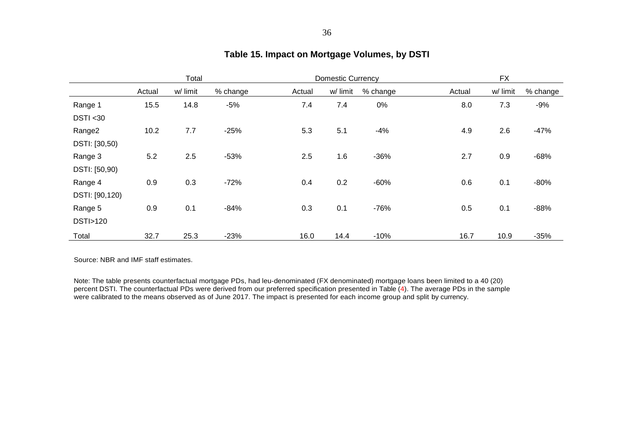|                    | Total  |          |          |        | <b>Domestic Currency</b> |          | <b>FX</b> |          |          |
|--------------------|--------|----------|----------|--------|--------------------------|----------|-----------|----------|----------|
|                    | Actual | w/ limit | % change | Actual | w/ limit                 | % change | Actual    | w/ limit | % change |
| Range 1            | 15.5   | 14.8     | $-5%$    | 7.4    | 7.4                      | 0%       | 8.0       | 7.3      | $-9%$    |
| DSTI < 30          |        |          |          |        |                          |          |           |          |          |
| Range <sub>2</sub> | 10.2   | 7.7      | $-25%$   | 5.3    | 5.1                      | $-4%$    | 4.9       | 2.6      | $-47%$   |
| DSTI: [30,50)      |        |          |          |        |                          |          |           |          |          |
| Range 3            | 5.2    | 2.5      | $-53%$   | 2.5    | 1.6                      | $-36%$   | 2.7       | 0.9      | $-68%$   |
| DSTI: [50,90)      |        |          |          |        |                          |          |           |          |          |
| Range 4            | 0.9    | 0.3      | $-72%$   | 0.4    | 0.2                      | $-60%$   | 0.6       | 0.1      | $-80%$   |
| DSTI: [90,120)     |        |          |          |        |                          |          |           |          |          |
| Range 5            | 0.9    | 0.1      | $-84%$   | 0.3    | 0.1                      | $-76%$   | 0.5       | 0.1      | $-88%$   |
| <b>DSTI&gt;120</b> |        |          |          |        |                          |          |           |          |          |
| Total              | 32.7   | 25.3     | $-23%$   | 16.0   | 14.4                     | $-10%$   | 16.7      | 10.9     | $-35%$   |

# **Table 15. Impact on Mortgage Volumes, by DSTI**

Source: NBR and IMF staff estimates.

Note: The table presents counterfactual mortgage PDs, had leu-denominated (FX denominated) mortgage loans been limited to a 40 (20) percent DSTI. The counterfactual PDs were derived from our preferred specification presented in Table (4). The average PDs in the sample were calibrated to the means observed as of June 2017. The impact is presented for each income group and split by currency.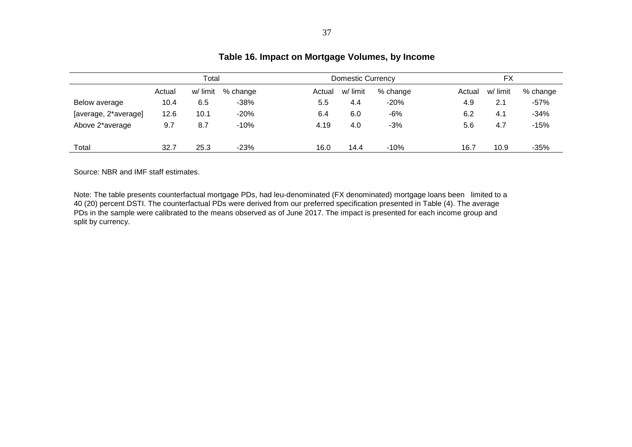|                      |        |          |          | ິ      |                          |          |        |          |          |  |
|----------------------|--------|----------|----------|--------|--------------------------|----------|--------|----------|----------|--|
|                      | Total  |          |          |        | <b>Domestic Currency</b> |          |        | FX       |          |  |
|                      | Actual | w/ limit | % change | Actual | w/ limit                 | % change | Actual | w/ limit | % change |  |
| Below average        | 10.4   | 6.5      | $-38%$   | 5.5    | 4.4                      | $-20%$   | 4.9    | 2.1      | $-57%$   |  |
| [average, 2*average] | 12.6   | 10.1     | $-20%$   | 6.4    | 6.0                      | -6%      | 6.2    | 4.1      | $-34%$   |  |
| Above 2*average      | 9.7    | 8.7      | $-10%$   | 4.19   | 4.0                      | $-3%$    | 5.6    | 4.7      | $-15%$   |  |
| Total                | 32.7   | 25.3     | $-23%$   | 16.0   | 14.4                     | $-10%$   | 16.7   | 10.9     | $-35%$   |  |

# **Table 16. Impact on Mortgage Volumes, by Income**

Source: NBR and IMF staff estimates.

Note: The table presents counterfactual mortgage PDs, had leu-denominated (FX denominated) mortgage loans been limited to a 40 (20) percent DSTI. The counterfactual PDs were derived from our preferred specification presented in Table (4). The average PDs in the sample were calibrated to the means observed as of June 2017. The impact is presented for each income group and split by currency.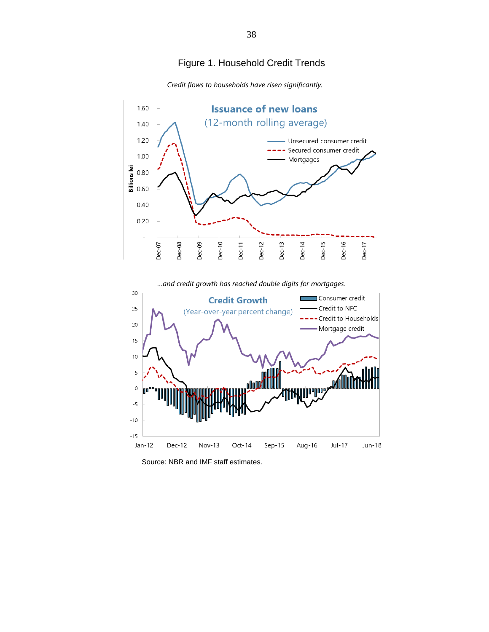# Figure 1. Household Credit Trends



 *Credit flows to households have risen significantly.*

*…and credit growth has reached double digits for mortgages.*



Source: NBR and IMF staff estimates.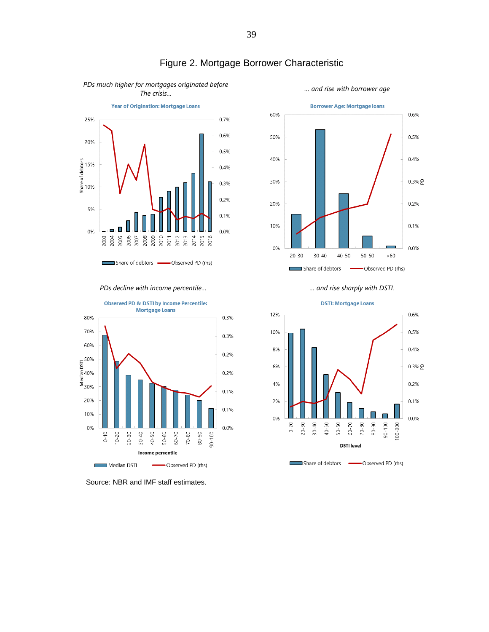

# Figure 2. Mortgage Borrower Characteristic

*PDs much higher for mortgages originated before The crisis… … and rise with borrower age*





Source: NBR and IMF staff estimates.





#### 39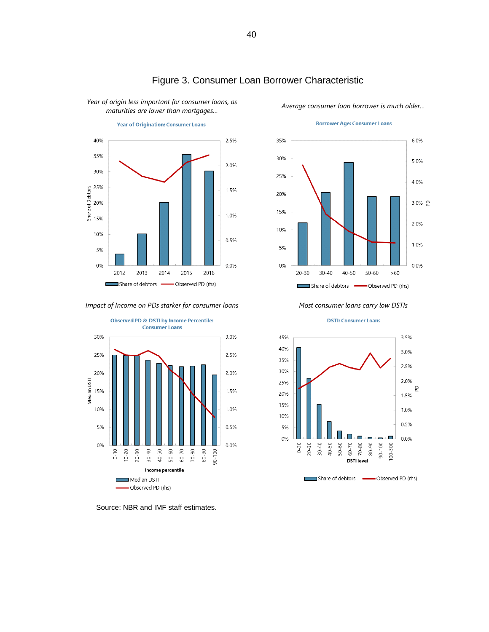

*Year of origin less important for consumer loans, as* 

# Figure 3. Consumer Loan Borrower Characteristic

*maturities are lower than mortgages… Average consumer loan borrower is much older…*

#### **Borrower Age: Consumer Loans**



*Impact of Income on PDs starker for consumer loans Most consumer loans carry low DSTIs*



Source: NBR and IMF staff estimates.



**DSTI: Consumer Loans**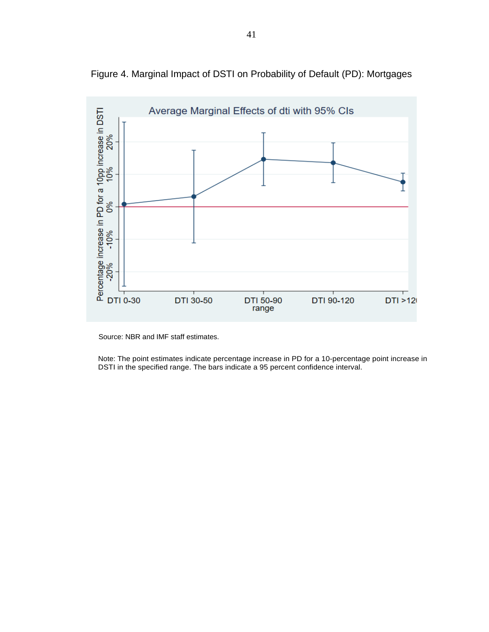

Figure 4. Marginal Impact of DSTI on Probability of Default (PD): Mortgages

Source: NBR and IMF staff estimates.

Note: The point estimates indicate percentage increase in PD for a 10-percentage point increase in DSTI in the specified range. The bars indicate a 95 percent confidence interval.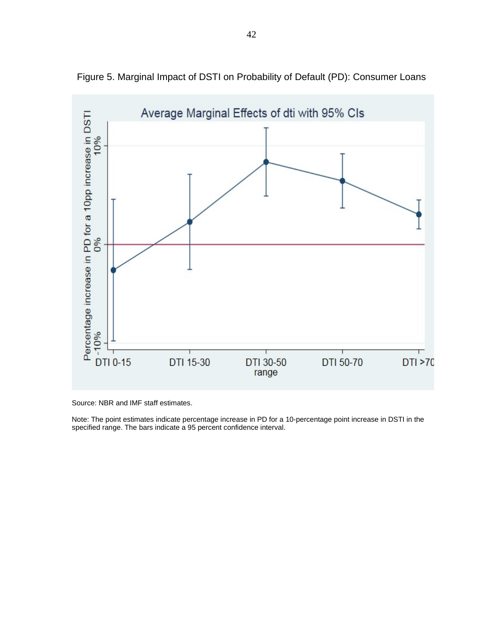

Figure 5. Marginal Impact of DSTI on Probability of Default (PD): Consumer Loans

Source: NBR and IMF staff estimates.

Note: The point estimates indicate percentage increase in PD for a 10-percentage point increase in DSTI in the specified range. The bars indicate a 95 percent confidence interval.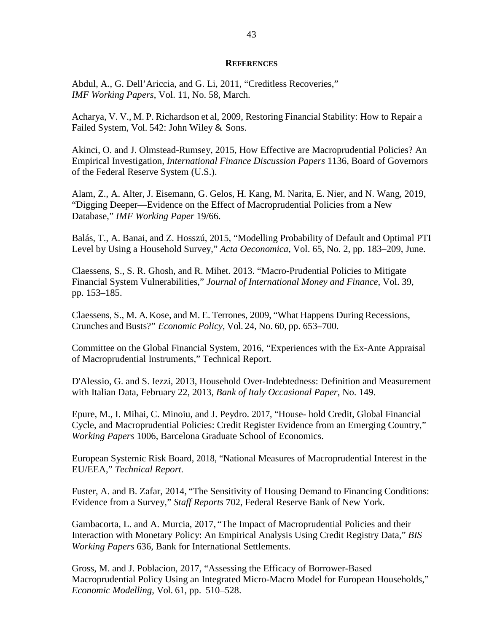#### **REFERENCES**

Abdul, A., G. Dell'Ariccia, and G. Li, 2011, "Creditless Recoveries," *IMF Working Papers*, Vol. 11, No. 58, March.

Acharya, V. V., M. P. Richardson et al, 2009, Restoring Financial Stability: How to Repair a Failed System, Vol. 542: John Wiley & Sons.

Akinci, O. and J. Olmstead-Rumsey, 2015, How Effective are Macroprudential Policies? An Empirical Investigation, *International Finance Discussion Papers* 1136, Board of Governors of the Federal Reserve System (U.S.).

Alam, Z., A. Alter, J. Eisemann, G. Gelos, H. Kang, M. Narita, E. Nier, and N. Wang, 2019, "Digging Deeper—Evidence on the Effect of Macroprudential Policies from a New Database," *IMF Working Paper* 19/66.

Balás, T., A. Banai, and Z. Hosszú, 2015, "Modelling Probability of Default and Optimal PTI Level by Using a Household Survey," *Acta Oeconomica*, Vol. 65, No. 2, pp. 183–209, June.

Claessens, S., S. R. Ghosh, and R. Mihet. 2013. "Macro-Prudential Policies to Mitigate Financial System Vulnerabilities," *Journal of International Money and Finance*, Vol. 39, pp. 153–185.

Claessens, S., M. A. Kose, and M. E. Terrones, 2009, "What Happens During Recessions, Crunches and Busts?" *Economic Policy*, Vol. 24, No. 60, pp. 653–700.

Committee on the Global Financial System, 2016, "Experiences with the Ex-Ante Appraisal of Macroprudential Instruments," Technical Report.

D'Alessio, G. and S. Iezzi, 2013, Household Over-Indebtedness: Definition and Measurement with Italian Data, February 22, 2013, *Bank of Italy Occasional Paper,* No. 149.

Epure, M., I. Mihai, C. Minoiu, and J. Peydro. 2017, "House- hold Credit, Global Financial Cycle, and Macroprudential Policies: Credit Register Evidence from an Emerging Country," *Working Papers* 1006, Barcelona Graduate School of Economics.

European Systemic Risk Board, 2018, "National Measures of Macroprudential Interest in the EU/EEA," *Technical Report.*

Fuster, A. and B. Zafar, 2014, "The Sensitivity of Housing Demand to Financing Conditions: Evidence from a Survey," *Staff Reports* 702, Federal Reserve Bank of New York.

Gambacorta, L. and A. Murcia, 2017, "The Impact of Macroprudential Policies and their Interaction with Monetary Policy: An Empirical Analysis Using Credit Registry Data," *BIS Working Papers* 636, Bank for International Settlements.

Gross, M. and J. Poblacion, 2017, "Assessing the Efficacy of Borrower-Based Macroprudential Policy Using an Integrated Micro-Macro Model for European Households," *Economic Modelling,* Vol. 61, pp. 510–528.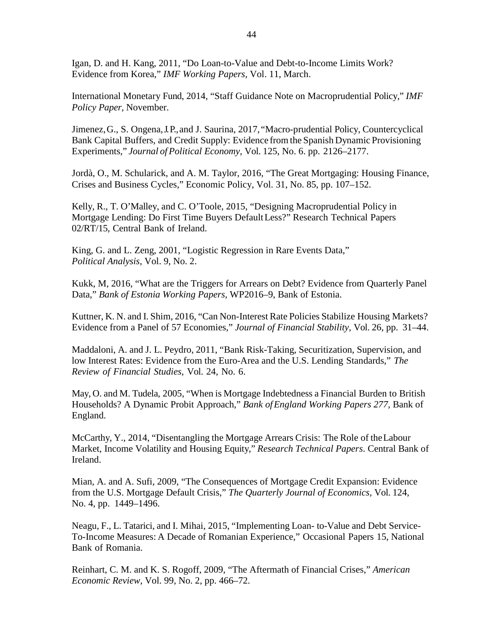Igan, D. and H. Kang, 2011, "Do Loan-to-Value and Debt-to-Income Limits Work? Evidence from Korea," *IMF Working Papers,* Vol. 11, March.

International Monetary Fund, 2014, "Staff Guidance Note on Macroprudential Policy," *IMF Policy Paper,* November.

Jimenez, G., S. Ongena, J. P., and J. Saurina, 2017, "Macro-prudential Policy, Countercyclical Bank Capital Buffers, and Credit Supply: Evidence from the Spanish Dynamic Provisioning Experiments," *Journal ofPolitical Economy,* Vol. 125, No. 6. pp. 2126–2177.

Jordà, O., M. Schularick, and A. M. Taylor, 2016, "The Great Mortgaging: Housing Finance, Crises and Business Cycles," Economic Policy, Vol. 31, No. 85, pp. 107–152.

Kelly, R., T. O'Malley, and C. O'Toole, 2015, "Designing Macroprudential Policy in Mortgage Lending: Do First Time Buyers DefaultLess?" Research Technical Papers 02/RT/15, Central Bank of Ireland.

King, G. and L. Zeng, 2001, "Logistic Regression in Rare Events Data," *Political Analysis*, Vol. 9, No. 2.

Kukk, M, 2016, "What are the Triggers for Arrears on Debt? Evidence from Quarterly Panel Data," *Bank of Estonia Working Papers,* WP2016–9, Bank of Estonia.

Kuttner, K. N. and I. Shim, 2016, "Can Non-Interest Rate Policies Stabilize Housing Markets? Evidence from a Panel of 57 Economies," *Journal of Financial Stability,* Vol. 26, pp. 31–44.

Maddaloni, A. and J. L. Peydro, 2011, "Bank Risk-Taking, Securitization, Supervision, and low Interest Rates: Evidence from the Euro-Area and the U.S. Lending Standards," *The Review of Financial Studies,* Vol. 24, No. 6.

May, O. and M. Tudela, 2005, "When is Mortgage Indebtedness a Financial Burden to British Households? A Dynamic Probit Approach," *Bank ofEngland Working Papers 277,* Bank of England.

McCarthy, Y., 2014, "Disentangling the Mortgage Arrears Crisis: The Role of theLabour Market, Income Volatility and Housing Equity," *Research Technical Papers*. Central Bank of Ireland.

Mian, A. and A. Sufi, 2009, "The Consequences of Mortgage Credit Expansion: Evidence from the U.S. Mortgage Default Crisis," *The Quarterly Journal of Economics,* Vol. 124, No. 4, pp. 1449–1496.

Neagu, F., L. Tatarici, and I. Mihai, 2015, "Implementing Loan- to-Value and Debt Service-To-Income Measures: A Decade of Romanian Experience," Occasional Papers 15, National Bank of Romania.

Reinhart, C. M. and K. S. Rogoff, 2009, "The Aftermath of Financial Crises," *American Economic Review*, Vol. 99, No. 2, pp. 466–72.